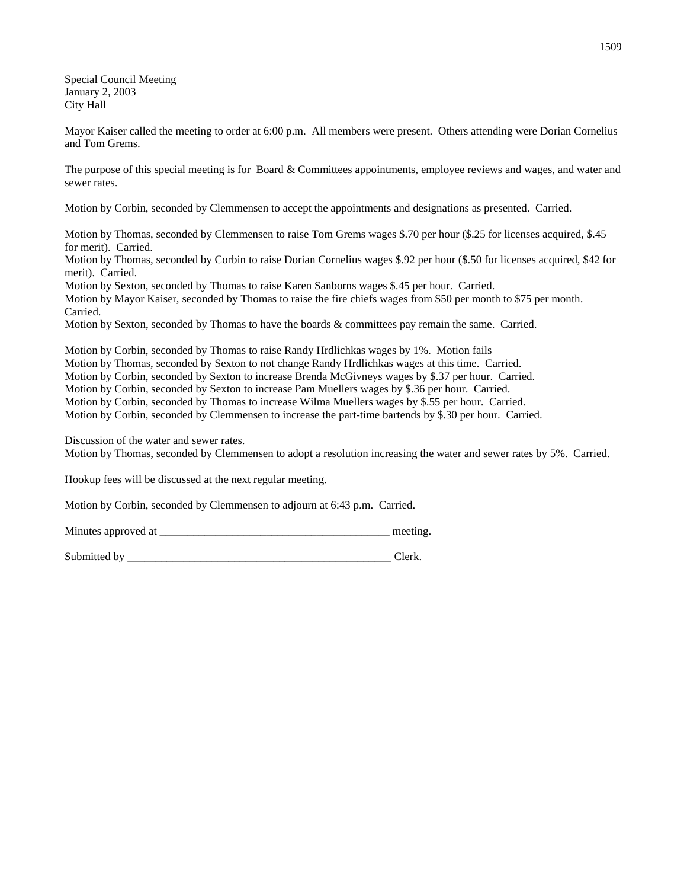Special Council Meeting January 2, 2003 City Hall

Mayor Kaiser called the meeting to order at 6:00 p.m. All members were present. Others attending were Dorian Cornelius and Tom Grems.

The purpose of this special meeting is for Board & Committees appointments, employee reviews and wages, and water and sewer rates.

Motion by Corbin, seconded by Clemmensen to accept the appointments and designations as presented. Carried.

Motion by Thomas, seconded by Clemmensen to raise Tom Grems wages \$.70 per hour (\$.25 for licenses acquired, \$.45 for merit). Carried.

Motion by Thomas, seconded by Corbin to raise Dorian Cornelius wages \$.92 per hour (\$.50 for licenses acquired, \$42 for merit). Carried.

Motion by Sexton, seconded by Thomas to raise Karen Sanborns wages \$.45 per hour. Carried. Motion by Mayor Kaiser, seconded by Thomas to raise the fire chiefs wages from \$50 per month to \$75 per month. Carried.

Motion by Sexton, seconded by Thomas to have the boards & committees pay remain the same. Carried.

Motion by Corbin, seconded by Thomas to raise Randy Hrdlichkas wages by 1%. Motion fails Motion by Thomas, seconded by Sexton to not change Randy Hrdlichkas wages at this time. Carried.

Motion by Corbin, seconded by Sexton to increase Brenda McGivneys wages by \$.37 per hour. Carried.

Motion by Corbin, seconded by Sexton to increase Pam Muellers wages by \$.36 per hour. Carried.

Motion by Corbin, seconded by Thomas to increase Wilma Muellers wages by \$.55 per hour. Carried.

Motion by Corbin, seconded by Clemmensen to increase the part-time bartends by \$.30 per hour. Carried.

Discussion of the water and sewer rates.

Motion by Thomas, seconded by Clemmensen to adopt a resolution increasing the water and sewer rates by 5%. Carried.

Hookup fees will be discussed at the next regular meeting.

Motion by Corbin, seconded by Clemmensen to adjourn at 6:43 p.m. Carried.

Minutes approved at \_\_\_\_\_\_\_\_\_\_\_\_\_\_\_\_\_\_\_\_\_\_\_\_\_\_\_\_\_\_\_\_\_\_\_\_\_\_\_\_\_ meeting.

Submitted by \_\_\_\_\_\_\_\_\_\_\_\_\_\_\_\_\_\_\_\_\_\_\_\_\_\_\_\_\_\_\_\_\_\_\_\_\_\_\_\_\_\_\_\_\_\_\_ Clerk.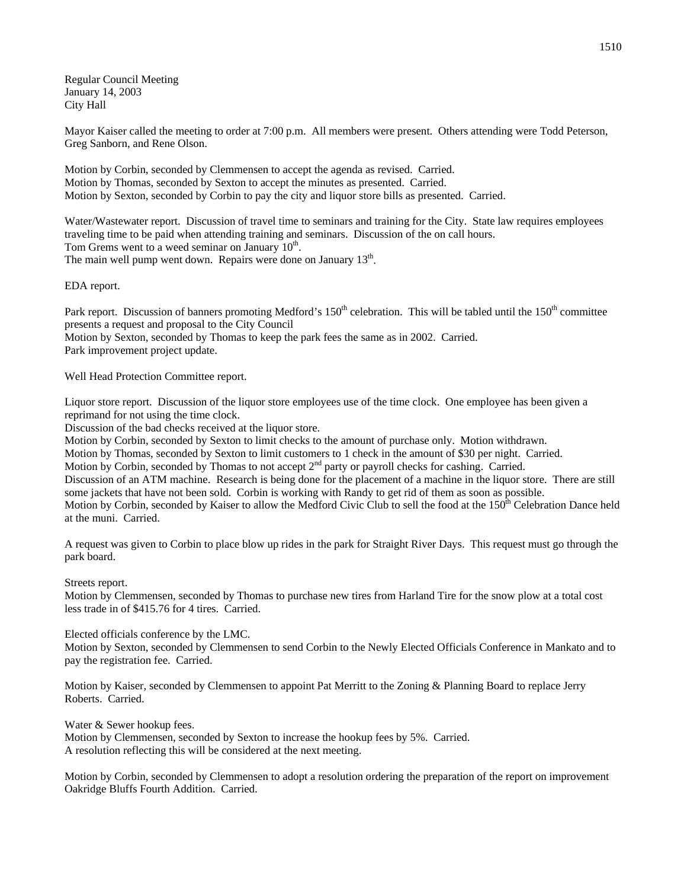Regular Council Meeting January 14, 2003 City Hall

Mayor Kaiser called the meeting to order at 7:00 p.m. All members were present. Others attending were Todd Peterson, Greg Sanborn, and Rene Olson.

Motion by Corbin, seconded by Clemmensen to accept the agenda as revised. Carried. Motion by Thomas, seconded by Sexton to accept the minutes as presented. Carried. Motion by Sexton, seconded by Corbin to pay the city and liquor store bills as presented. Carried.

Water/Wastewater report. Discussion of travel time to seminars and training for the City. State law requires employees traveling time to be paid when attending training and seminars. Discussion of the on call hours. Tom Grems went to a weed seminar on January  $10<sup>th</sup>$ . The main well pump went down. Repairs were done on January 13<sup>th</sup>.

EDA report.

Park report. Discussion of banners promoting Medford's 150<sup>th</sup> celebration. This will be tabled until the 150<sup>th</sup> committee presents a request and proposal to the City Council Motion by Sexton, seconded by Thomas to keep the park fees the same as in 2002. Carried. Park improvement project update.

Well Head Protection Committee report.

Liquor store report. Discussion of the liquor store employees use of the time clock. One employee has been given a reprimand for not using the time clock.

Discussion of the bad checks received at the liquor store.

Motion by Corbin, seconded by Sexton to limit checks to the amount of purchase only. Motion withdrawn.

Motion by Thomas, seconded by Sexton to limit customers to 1 check in the amount of \$30 per night. Carried.

Motion by Corbin, seconded by Thomas to not accept  $2<sup>nd</sup>$  party or payroll checks for cashing. Carried.

Discussion of an ATM machine. Research is being done for the placement of a machine in the liquor store. There are still some jackets that have not been sold. Corbin is working with Randy to get rid of them as soon as possible.

Motion by Corbin, seconded by Kaiser to allow the Medford Civic Club to sell the food at the  $150<sup>th</sup>$  Celebration Dance held at the muni. Carried.

A request was given to Corbin to place blow up rides in the park for Straight River Days. This request must go through the park board.

Streets report.

Motion by Clemmensen, seconded by Thomas to purchase new tires from Harland Tire for the snow plow at a total cost less trade in of \$415.76 for 4 tires. Carried.

Elected officials conference by the LMC.

Motion by Sexton, seconded by Clemmensen to send Corbin to the Newly Elected Officials Conference in Mankato and to pay the registration fee. Carried.

Motion by Kaiser, seconded by Clemmensen to appoint Pat Merritt to the Zoning & Planning Board to replace Jerry Roberts. Carried.

Water & Sewer hookup fees.

Motion by Clemmensen, seconded by Sexton to increase the hookup fees by 5%. Carried. A resolution reflecting this will be considered at the next meeting.

Motion by Corbin, seconded by Clemmensen to adopt a resolution ordering the preparation of the report on improvement Oakridge Bluffs Fourth Addition. Carried.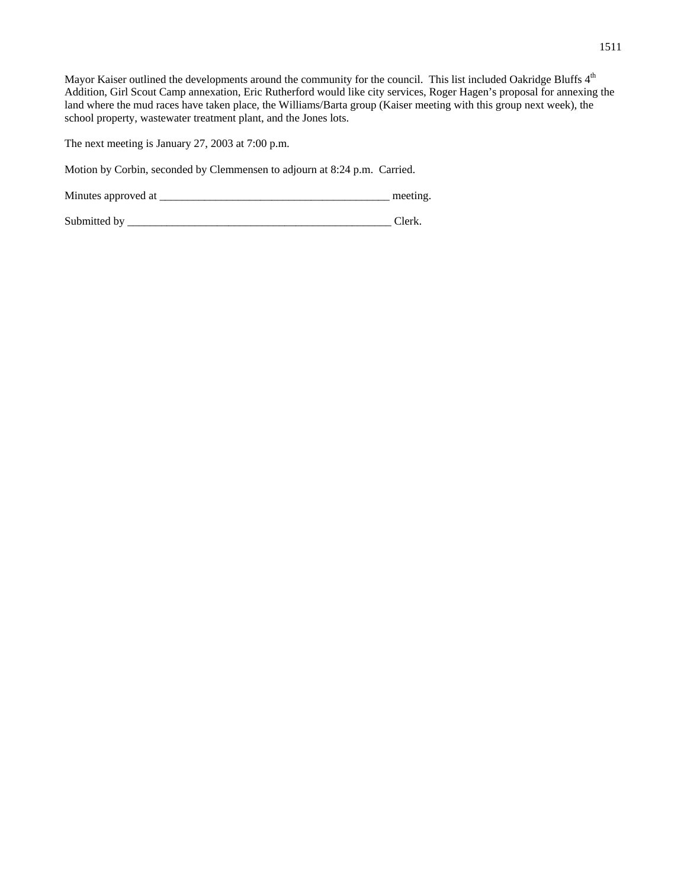Mayor Kaiser outlined the developments around the community for the council. This list included Oakridge Bluffs 4<sup>th</sup> Addition, Girl Scout Camp annexation, Eric Rutherford would like city services, Roger Hagen's proposal for annexing the land where the mud races have taken place, the Williams/Barta group (Kaiser meeting with this group next week), the school property, wastewater treatment plant, and the Jones lots.

The next meeting is January 27, 2003 at 7:00 p.m.

Motion by Corbin, seconded by Clemmensen to adjourn at 8:24 p.m. Carried.

Minutes approved at \_\_\_\_\_\_\_\_\_\_\_\_\_\_\_\_\_\_\_\_\_\_\_\_\_\_\_\_\_\_\_\_\_\_\_\_\_\_\_\_\_ meeting.

Submitted by \_\_\_\_\_\_\_\_\_\_\_\_\_\_\_\_\_\_\_\_\_\_\_\_\_\_\_\_\_\_\_\_\_\_\_\_\_\_\_\_\_\_\_\_\_\_\_ Clerk.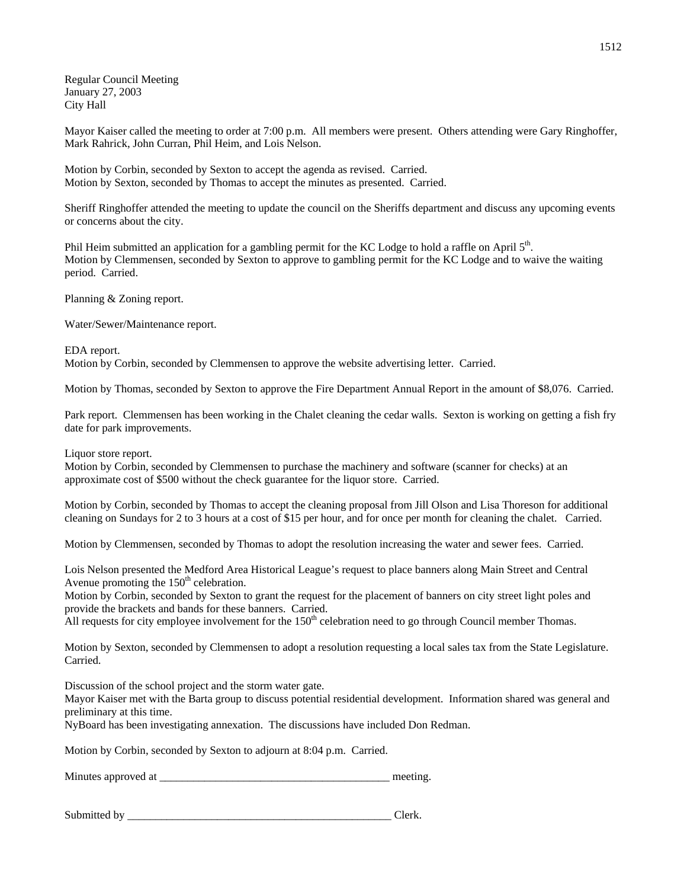Regular Council Meeting January 27, 2003 City Hall

Mayor Kaiser called the meeting to order at 7:00 p.m. All members were present. Others attending were Gary Ringhoffer, Mark Rahrick, John Curran, Phil Heim, and Lois Nelson.

Motion by Corbin, seconded by Sexton to accept the agenda as revised. Carried. Motion by Sexton, seconded by Thomas to accept the minutes as presented. Carried.

Sheriff Ringhoffer attended the meeting to update the council on the Sheriffs department and discuss any upcoming events or concerns about the city.

Phil Heim submitted an application for a gambling permit for the KC Lodge to hold a raffle on April 5<sup>th</sup>. Motion by Clemmensen, seconded by Sexton to approve to gambling permit for the KC Lodge and to waive the waiting period. Carried.

Planning & Zoning report.

Water/Sewer/Maintenance report.

## EDA report.

Motion by Corbin, seconded by Clemmensen to approve the website advertising letter. Carried.

Motion by Thomas, seconded by Sexton to approve the Fire Department Annual Report in the amount of \$8,076. Carried.

Park report. Clemmensen has been working in the Chalet cleaning the cedar walls. Sexton is working on getting a fish fry date for park improvements.

Liquor store report.

Motion by Corbin, seconded by Clemmensen to purchase the machinery and software (scanner for checks) at an approximate cost of \$500 without the check guarantee for the liquor store. Carried.

Motion by Corbin, seconded by Thomas to accept the cleaning proposal from Jill Olson and Lisa Thoreson for additional cleaning on Sundays for 2 to 3 hours at a cost of \$15 per hour, and for once per month for cleaning the chalet. Carried.

Motion by Clemmensen, seconded by Thomas to adopt the resolution increasing the water and sewer fees. Carried.

Lois Nelson presented the Medford Area Historical League's request to place banners along Main Street and Central Avenue promoting the  $150<sup>th</sup>$  celebration.

Motion by Corbin, seconded by Sexton to grant the request for the placement of banners on city street light poles and provide the brackets and bands for these banners. Carried.

All requests for city employee involvement for the  $150<sup>th</sup>$  celebration need to go through Council member Thomas.

Motion by Sexton, seconded by Clemmensen to adopt a resolution requesting a local sales tax from the State Legislature. Carried.

Discussion of the school project and the storm water gate.

Mayor Kaiser met with the Barta group to discuss potential residential development. Information shared was general and preliminary at this time.

NyBoard has been investigating annexation. The discussions have included Don Redman.

Motion by Corbin, seconded by Sexton to adjourn at 8:04 p.m. Carried.

Minutes approved at \_\_\_\_\_\_\_\_\_\_\_\_\_\_\_\_\_\_\_\_\_\_\_\_\_\_\_\_\_\_\_\_\_\_\_\_\_\_\_\_\_ meeting.

Submitted by \_\_\_\_\_\_\_\_\_\_\_\_\_\_\_\_\_\_\_\_\_\_\_\_\_\_\_\_\_\_\_\_\_\_\_\_\_\_\_\_\_\_\_\_\_\_\_ Clerk.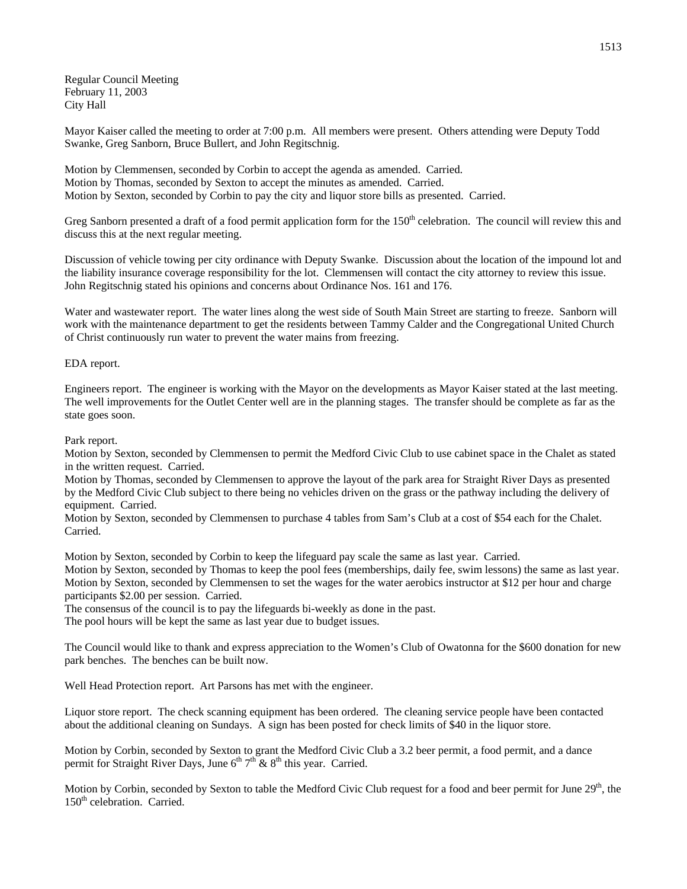Regular Council Meeting February 11, 2003 City Hall

Mayor Kaiser called the meeting to order at 7:00 p.m. All members were present. Others attending were Deputy Todd Swanke, Greg Sanborn, Bruce Bullert, and John Regitschnig.

Motion by Clemmensen, seconded by Corbin to accept the agenda as amended. Carried. Motion by Thomas, seconded by Sexton to accept the minutes as amended. Carried. Motion by Sexton, seconded by Corbin to pay the city and liquor store bills as presented. Carried.

Greg Sanborn presented a draft of a food permit application form for the  $150<sup>th</sup>$  celebration. The council will review this and discuss this at the next regular meeting.

Discussion of vehicle towing per city ordinance with Deputy Swanke. Discussion about the location of the impound lot and the liability insurance coverage responsibility for the lot. Clemmensen will contact the city attorney to review this issue. John Regitschnig stated his opinions and concerns about Ordinance Nos. 161 and 176.

Water and wastewater report. The water lines along the west side of South Main Street are starting to freeze. Sanborn will work with the maintenance department to get the residents between Tammy Calder and the Congregational United Church of Christ continuously run water to prevent the water mains from freezing.

EDA report.

Engineers report. The engineer is working with the Mayor on the developments as Mayor Kaiser stated at the last meeting. The well improvements for the Outlet Center well are in the planning stages. The transfer should be complete as far as the state goes soon.

## Park report.

Motion by Sexton, seconded by Clemmensen to permit the Medford Civic Club to use cabinet space in the Chalet as stated in the written request. Carried.

Motion by Thomas, seconded by Clemmensen to approve the layout of the park area for Straight River Days as presented by the Medford Civic Club subject to there being no vehicles driven on the grass or the pathway including the delivery of equipment. Carried.

Motion by Sexton, seconded by Clemmensen to purchase 4 tables from Sam's Club at a cost of \$54 each for the Chalet. Carried.

Motion by Sexton, seconded by Corbin to keep the lifeguard pay scale the same as last year. Carried. Motion by Sexton, seconded by Thomas to keep the pool fees (memberships, daily fee, swim lessons) the same as last year. Motion by Sexton, seconded by Clemmensen to set the wages for the water aerobics instructor at \$12 per hour and charge participants \$2.00 per session. Carried.

The consensus of the council is to pay the lifeguards bi-weekly as done in the past.

The pool hours will be kept the same as last year due to budget issues.

The Council would like to thank and express appreciation to the Women's Club of Owatonna for the \$600 donation for new park benches. The benches can be built now.

Well Head Protection report. Art Parsons has met with the engineer.

Liquor store report. The check scanning equipment has been ordered. The cleaning service people have been contacted about the additional cleaning on Sundays. A sign has been posted for check limits of \$40 in the liquor store.

Motion by Corbin, seconded by Sexton to grant the Medford Civic Club a 3.2 beer permit, a food permit, and a dance permit for Straight River Days, June  $6<sup>th</sup> 7<sup>th</sup>$  &  $8<sup>th</sup>$  this year. Carried.

Motion by Corbin, seconded by Sexton to table the Medford Civic Club request for a food and beer permit for June 29<sup>th</sup>, the 150<sup>th</sup> celebration. Carried.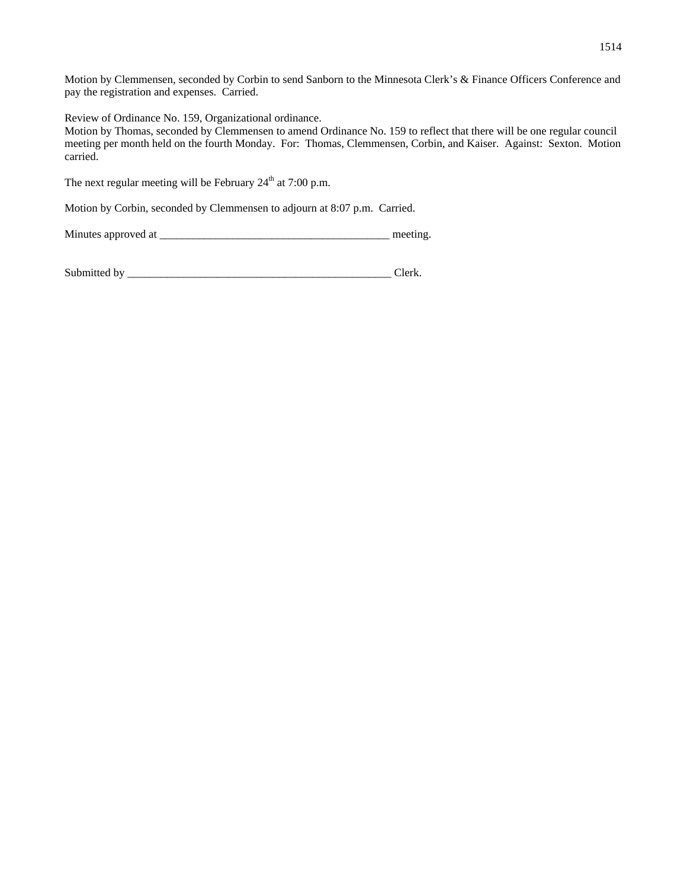Motion by Clemmensen, seconded by Corbin to send Sanborn to the Minnesota Clerk's & Finance Officers Conference and pay the registration and expenses. Carried.

Review of Ordinance No. 159, Organizational ordinance.

Motion by Thomas, seconded by Clemmensen to amend Ordinance No. 159 to reflect that there will be one regular council meeting per month held on the fourth Monday. For: Thomas, Clemmensen, Corbin, and Kaiser. Against: Sexton. Motion carried.

The next regular meeting will be February  $24<sup>th</sup>$  at 7:00 p.m.

Motion by Corbin, seconded by Clemmensen to adjourn at 8:07 p.m. Carried.

Minutes approved at \_\_\_\_\_\_\_\_\_\_\_\_\_\_\_\_\_\_\_\_\_\_\_\_\_\_\_\_\_\_\_\_\_\_\_\_\_\_\_\_\_ meeting.

| Submitted |  |  |
|-----------|--|--|
|-----------|--|--|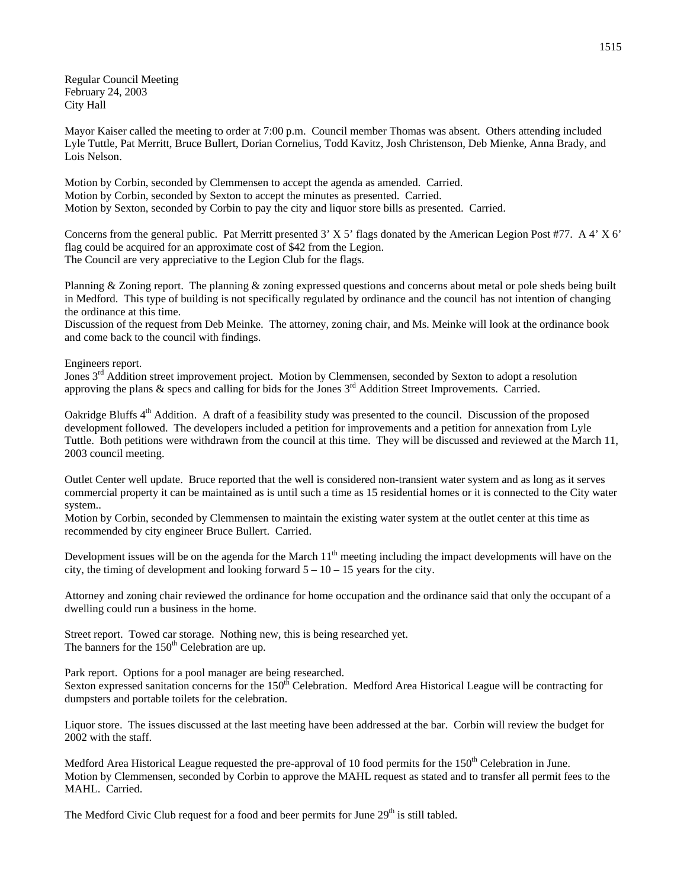Regular Council Meeting February 24, 2003 City Hall

Mayor Kaiser called the meeting to order at 7:00 p.m. Council member Thomas was absent. Others attending included Lyle Tuttle, Pat Merritt, Bruce Bullert, Dorian Cornelius, Todd Kavitz, Josh Christenson, Deb Mienke, Anna Brady, and Lois Nelson.

Motion by Corbin, seconded by Clemmensen to accept the agenda as amended. Carried. Motion by Corbin, seconded by Sexton to accept the minutes as presented. Carried. Motion by Sexton, seconded by Corbin to pay the city and liquor store bills as presented. Carried.

Concerns from the general public. Pat Merritt presented 3' X 5' flags donated by the American Legion Post #77. A 4' X 6' flag could be acquired for an approximate cost of \$42 from the Legion. The Council are very appreciative to the Legion Club for the flags.

Planning & Zoning report. The planning & zoning expressed questions and concerns about metal or pole sheds being built in Medford. This type of building is not specifically regulated by ordinance and the council has not intention of changing the ordinance at this time.

Discussion of the request from Deb Meinke. The attorney, zoning chair, and Ms. Meinke will look at the ordinance book and come back to the council with findings.

Engineers report.

Jones 3<sup>rd</sup> Addition street improvement project. Motion by Clemmensen, seconded by Sexton to adopt a resolution approving the plans & specs and calling for bids for the Jones 3<sup>rd</sup> Addition Street Improvements. Carried.

Oakridge Bluffs 4<sup>th</sup> Addition. A draft of a feasibility study was presented to the council. Discussion of the proposed development followed. The developers included a petition for improvements and a petition for annexation from Lyle Tuttle. Both petitions were withdrawn from the council at this time. They will be discussed and reviewed at the March 11, 2003 council meeting.

Outlet Center well update. Bruce reported that the well is considered non-transient water system and as long as it serves commercial property it can be maintained as is until such a time as 15 residential homes or it is connected to the City water system..

Motion by Corbin, seconded by Clemmensen to maintain the existing water system at the outlet center at this time as recommended by city engineer Bruce Bullert. Carried.

Development issues will be on the agenda for the March  $11<sup>th</sup>$  meeting including the impact developments will have on the city, the timing of development and looking forward  $5 - 10 - 15$  years for the city.

Attorney and zoning chair reviewed the ordinance for home occupation and the ordinance said that only the occupant of a dwelling could run a business in the home.

Street report. Towed car storage. Nothing new, this is being researched yet. The banners for the  $150<sup>th</sup>$  Celebration are up.

Park report. Options for a pool manager are being researched.

Sexton expressed sanitation concerns for the  $150<sup>th</sup>$  Celebration. Medford Area Historical League will be contracting for dumpsters and portable toilets for the celebration.

Liquor store. The issues discussed at the last meeting have been addressed at the bar. Corbin will review the budget for 2002 with the staff.

Medford Area Historical League requested the pre-approval of 10 food permits for the 150<sup>th</sup> Celebration in June. Motion by Clemmensen, seconded by Corbin to approve the MAHL request as stated and to transfer all permit fees to the MAHL. Carried.

The Medford Civic Club request for a food and beer permits for June 29<sup>th</sup> is still tabled.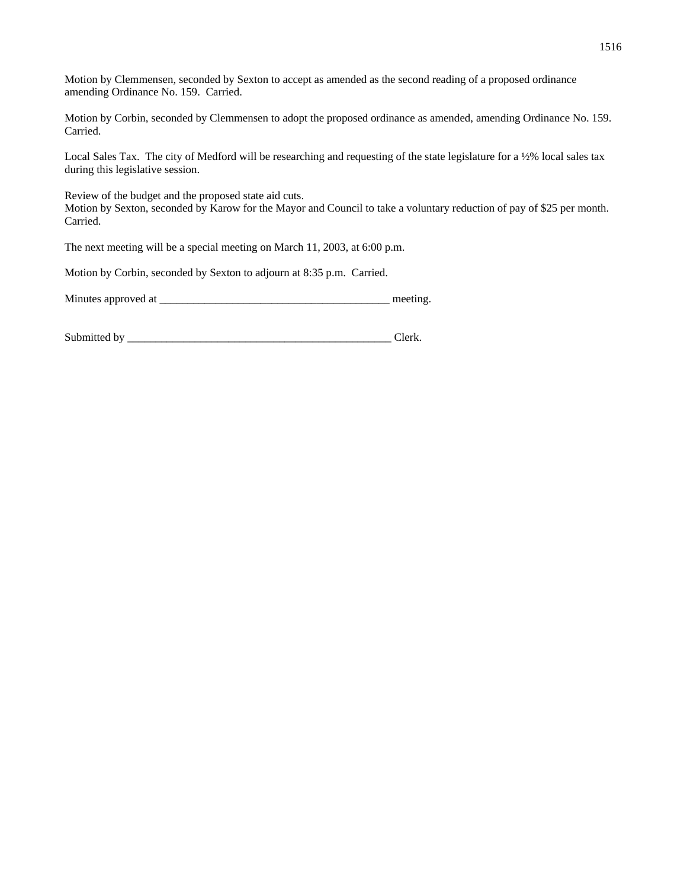Motion by Clemmensen, seconded by Sexton to accept as amended as the second reading of a proposed ordinance amending Ordinance No. 159. Carried.

Motion by Corbin, seconded by Clemmensen to adopt the proposed ordinance as amended, amending Ordinance No. 159. Carried.

Local Sales Tax. The city of Medford will be researching and requesting of the state legislature for a ½% local sales tax during this legislative session.

Review of the budget and the proposed state aid cuts. Motion by Sexton, seconded by Karow for the Mayor and Council to take a voluntary reduction of pay of \$25 per month. Carried.

The next meeting will be a special meeting on March 11, 2003, at 6:00 p.m.

Motion by Corbin, seconded by Sexton to adjourn at 8:35 p.m. Carried.

Minutes approved at the setting and the setting meeting.

Submitted by \_\_\_\_\_\_\_\_\_\_\_\_\_\_\_\_\_\_\_\_\_\_\_\_\_\_\_\_\_\_\_\_\_\_\_\_\_\_\_\_\_\_\_\_\_\_\_ Clerk.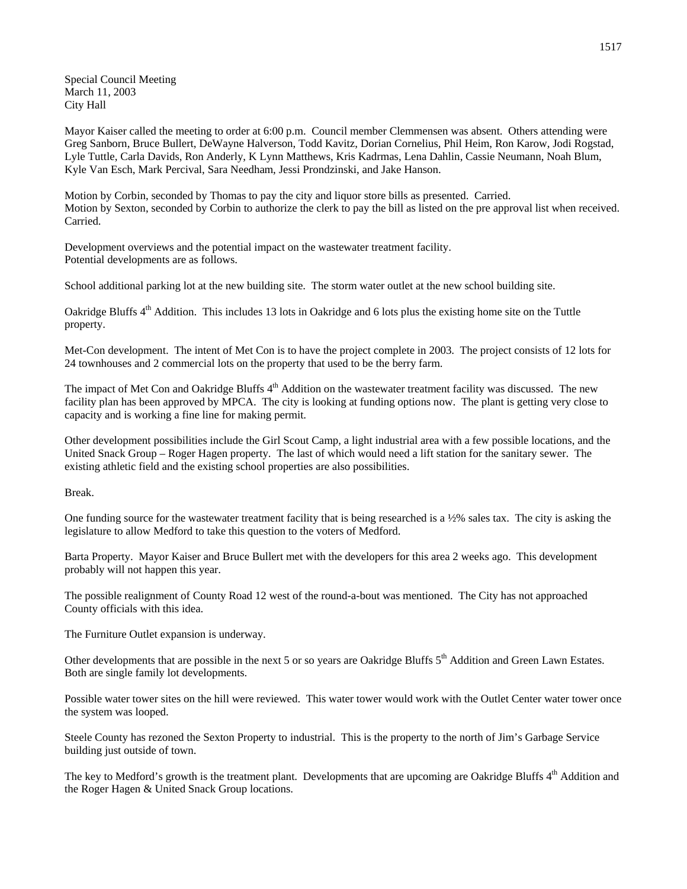Special Council Meeting March 11, 2003 City Hall

Mayor Kaiser called the meeting to order at 6:00 p.m. Council member Clemmensen was absent. Others attending were Greg Sanborn, Bruce Bullert, DeWayne Halverson, Todd Kavitz, Dorian Cornelius, Phil Heim, Ron Karow, Jodi Rogstad, Lyle Tuttle, Carla Davids, Ron Anderly, K Lynn Matthews, Kris Kadrmas, Lena Dahlin, Cassie Neumann, Noah Blum, Kyle Van Esch, Mark Percival, Sara Needham, Jessi Prondzinski, and Jake Hanson.

Motion by Corbin, seconded by Thomas to pay the city and liquor store bills as presented. Carried. Motion by Sexton, seconded by Corbin to authorize the clerk to pay the bill as listed on the pre approval list when received. Carried.

Development overviews and the potential impact on the wastewater treatment facility. Potential developments are as follows.

School additional parking lot at the new building site. The storm water outlet at the new school building site.

Oakridge Bluffs 4<sup>th</sup> Addition. This includes 13 lots in Oakridge and 6 lots plus the existing home site on the Tuttle property.

Met-Con development. The intent of Met Con is to have the project complete in 2003. The project consists of 12 lots for 24 townhouses and 2 commercial lots on the property that used to be the berry farm.

The impact of Met Con and Oakridge Bluffs 4<sup>th</sup> Addition on the wastewater treatment facility was discussed. The new facility plan has been approved by MPCA. The city is looking at funding options now. The plant is getting very close to capacity and is working a fine line for making permit.

Other development possibilities include the Girl Scout Camp, a light industrial area with a few possible locations, and the United Snack Group – Roger Hagen property. The last of which would need a lift station for the sanitary sewer. The existing athletic field and the existing school properties are also possibilities.

Break.

One funding source for the wastewater treatment facility that is being researched is a ½% sales tax. The city is asking the legislature to allow Medford to take this question to the voters of Medford.

Barta Property. Mayor Kaiser and Bruce Bullert met with the developers for this area 2 weeks ago. This development probably will not happen this year.

The possible realignment of County Road 12 west of the round-a-bout was mentioned. The City has not approached County officials with this idea.

The Furniture Outlet expansion is underway.

Other developments that are possible in the next 5 or so years are Oakridge Bluffs  $5<sup>th</sup>$  Addition and Green Lawn Estates. Both are single family lot developments.

Possible water tower sites on the hill were reviewed. This water tower would work with the Outlet Center water tower once the system was looped.

Steele County has rezoned the Sexton Property to industrial. This is the property to the north of Jim's Garbage Service building just outside of town.

The key to Medford's growth is the treatment plant. Developments that are upcoming are Oakridge Bluffs 4<sup>th</sup> Addition and the Roger Hagen & United Snack Group locations.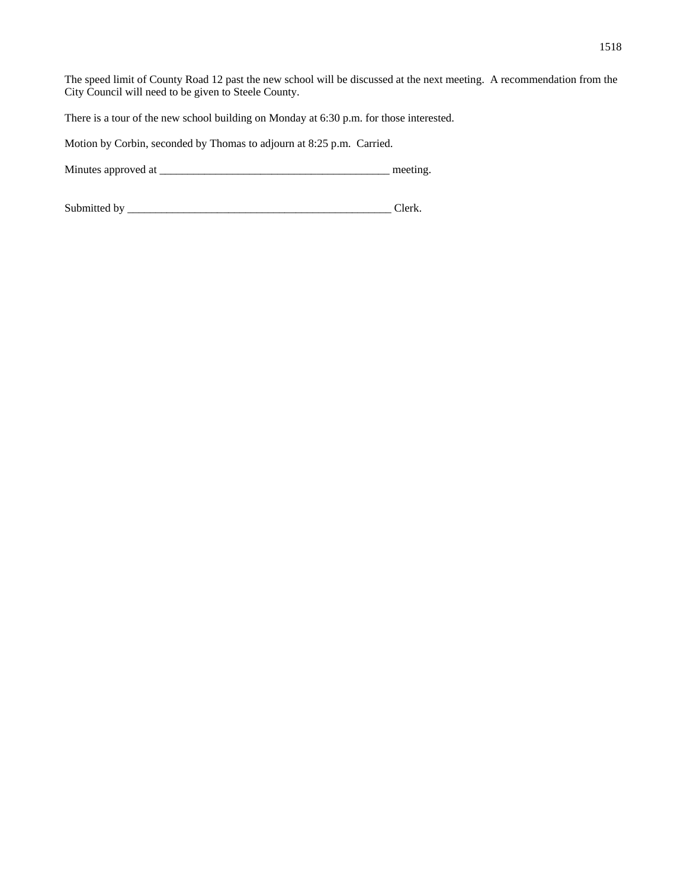The speed limit of County Road 12 past the new school will be discussed at the next meeting. A recommendation from the City Council will need to be given to Steele County.

There is a tour of the new school building on Monday at 6:30 p.m. for those interested.

Motion by Corbin, seconded by Thomas to adjourn at 8:25 p.m. Carried.

Minutes approved at \_\_\_\_\_\_\_\_\_\_\_\_\_\_\_\_\_\_\_\_\_\_\_\_\_\_\_\_\_\_\_\_\_\_\_\_\_\_\_\_\_ meeting.

Submitted by \_\_\_\_\_\_\_\_\_\_\_\_\_\_\_\_\_\_\_\_\_\_\_\_\_\_\_\_\_\_\_\_\_\_\_\_\_\_\_\_\_\_\_\_\_\_\_ Clerk.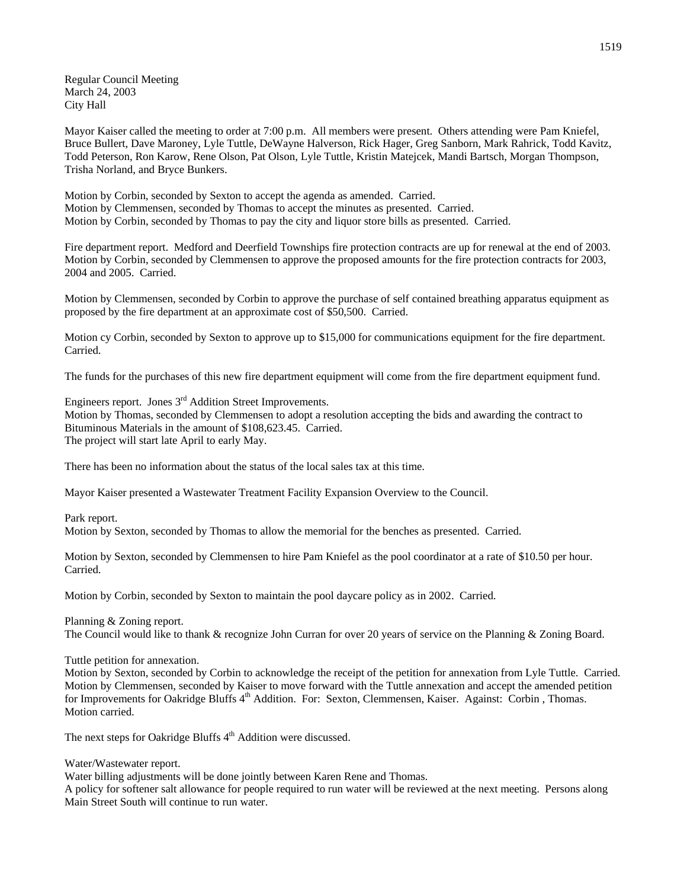Regular Council Meeting March 24, 2003 City Hall

Mayor Kaiser called the meeting to order at 7:00 p.m. All members were present. Others attending were Pam Kniefel, Bruce Bullert, Dave Maroney, Lyle Tuttle, DeWayne Halverson, Rick Hager, Greg Sanborn, Mark Rahrick, Todd Kavitz, Todd Peterson, Ron Karow, Rene Olson, Pat Olson, Lyle Tuttle, Kristin Matejcek, Mandi Bartsch, Morgan Thompson, Trisha Norland, and Bryce Bunkers.

Motion by Corbin, seconded by Sexton to accept the agenda as amended. Carried. Motion by Clemmensen, seconded by Thomas to accept the minutes as presented. Carried. Motion by Corbin, seconded by Thomas to pay the city and liquor store bills as presented. Carried.

Fire department report. Medford and Deerfield Townships fire protection contracts are up for renewal at the end of 2003. Motion by Corbin, seconded by Clemmensen to approve the proposed amounts for the fire protection contracts for 2003, 2004 and 2005. Carried.

Motion by Clemmensen, seconded by Corbin to approve the purchase of self contained breathing apparatus equipment as proposed by the fire department at an approximate cost of \$50,500. Carried.

Motion cy Corbin, seconded by Sexton to approve up to \$15,000 for communications equipment for the fire department. Carried.

The funds for the purchases of this new fire department equipment will come from the fire department equipment fund.

Engineers report. Jones 3<sup>rd</sup> Addition Street Improvements.

Motion by Thomas, seconded by Clemmensen to adopt a resolution accepting the bids and awarding the contract to Bituminous Materials in the amount of \$108,623.45. Carried. The project will start late April to early May.

There has been no information about the status of the local sales tax at this time.

Mayor Kaiser presented a Wastewater Treatment Facility Expansion Overview to the Council.

Park report.

Motion by Sexton, seconded by Thomas to allow the memorial for the benches as presented. Carried.

Motion by Sexton, seconded by Clemmensen to hire Pam Kniefel as the pool coordinator at a rate of \$10.50 per hour. Carried.

Motion by Corbin, seconded by Sexton to maintain the pool daycare policy as in 2002. Carried.

Planning & Zoning report.

The Council would like to thank & recognize John Curran for over 20 years of service on the Planning & Zoning Board.

Tuttle petition for annexation.

Motion by Sexton, seconded by Corbin to acknowledge the receipt of the petition for annexation from Lyle Tuttle. Carried. Motion by Clemmensen, seconded by Kaiser to move forward with the Tuttle annexation and accept the amended petition for Improvements for Oakridge Bluffs 4<sup>th</sup> Addition. For: Sexton, Clemmensen, Kaiser. Against: Corbin , Thomas. Motion carried.

The next steps for Oakridge Bluffs  $4<sup>th</sup>$  Addition were discussed.

Water/Wastewater report.

Water billing adjustments will be done jointly between Karen Rene and Thomas.

A policy for softener salt allowance for people required to run water will be reviewed at the next meeting. Persons along Main Street South will continue to run water.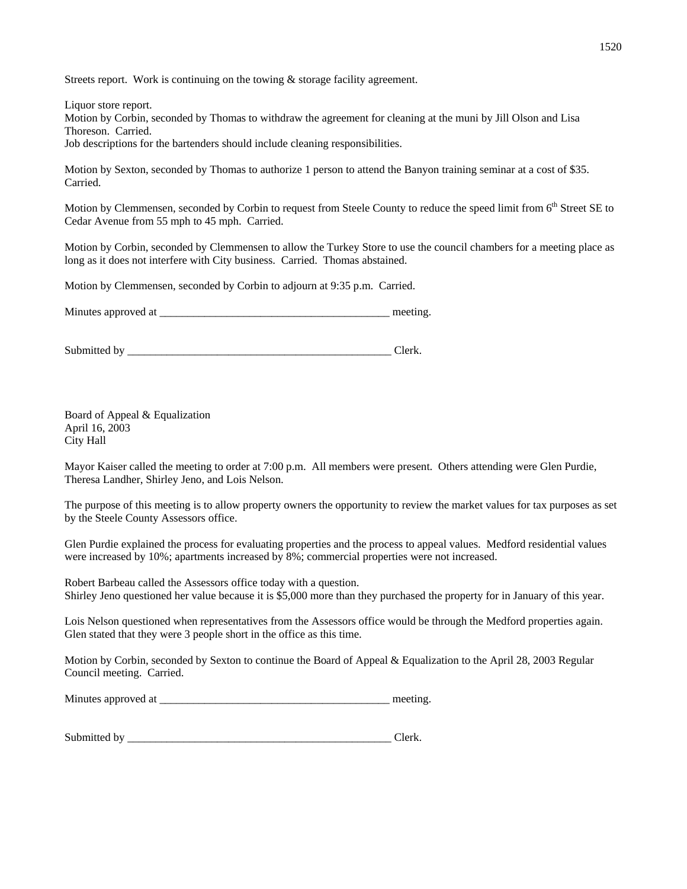Streets report. Work is continuing on the towing & storage facility agreement.

Liquor store report.

Motion by Corbin, seconded by Thomas to withdraw the agreement for cleaning at the muni by Jill Olson and Lisa Thoreson. Carried.

Job descriptions for the bartenders should include cleaning responsibilities.

Motion by Sexton, seconded by Thomas to authorize 1 person to attend the Banyon training seminar at a cost of \$35. Carried.

Motion by Clemmensen, seconded by Corbin to request from Steele County to reduce the speed limit from 6<sup>th</sup> Street SE to Cedar Avenue from 55 mph to 45 mph. Carried.

Motion by Corbin, seconded by Clemmensen to allow the Turkey Store to use the council chambers for a meeting place as long as it does not interfere with City business. Carried. Thomas abstained.

Motion by Clemmensen, seconded by Corbin to adjourn at 9:35 p.m. Carried.

Minutes approved at \_\_\_\_\_\_\_\_\_\_\_\_\_\_\_\_\_\_\_\_\_\_\_\_\_\_\_\_\_\_\_\_\_\_\_\_\_\_\_\_\_ meeting.

Submitted by \_\_\_\_\_\_\_\_\_\_\_\_\_\_\_\_\_\_\_\_\_\_\_\_\_\_\_\_\_\_\_\_\_\_\_\_\_\_\_\_\_\_\_\_\_\_\_ Clerk.

Board of Appeal & Equalization April 16, 2003 City Hall

Mayor Kaiser called the meeting to order at 7:00 p.m. All members were present. Others attending were Glen Purdie, Theresa Landher, Shirley Jeno, and Lois Nelson.

The purpose of this meeting is to allow property owners the opportunity to review the market values for tax purposes as set by the Steele County Assessors office.

Glen Purdie explained the process for evaluating properties and the process to appeal values. Medford residential values were increased by 10%; apartments increased by 8%; commercial properties were not increased.

Robert Barbeau called the Assessors office today with a question. Shirley Jeno questioned her value because it is \$5,000 more than they purchased the property for in January of this year.

Lois Nelson questioned when representatives from the Assessors office would be through the Medford properties again. Glen stated that they were 3 people short in the office as this time.

Motion by Corbin, seconded by Sexton to continue the Board of Appeal & Equalization to the April 28, 2003 Regular Council meeting. Carried.

Minutes approved at \_\_\_\_\_\_\_\_\_\_\_\_\_\_\_\_\_\_\_\_\_\_\_\_\_\_\_\_\_\_\_\_\_\_\_\_\_\_\_\_\_ meeting.

| Submitted by |  |
|--------------|--|
|              |  |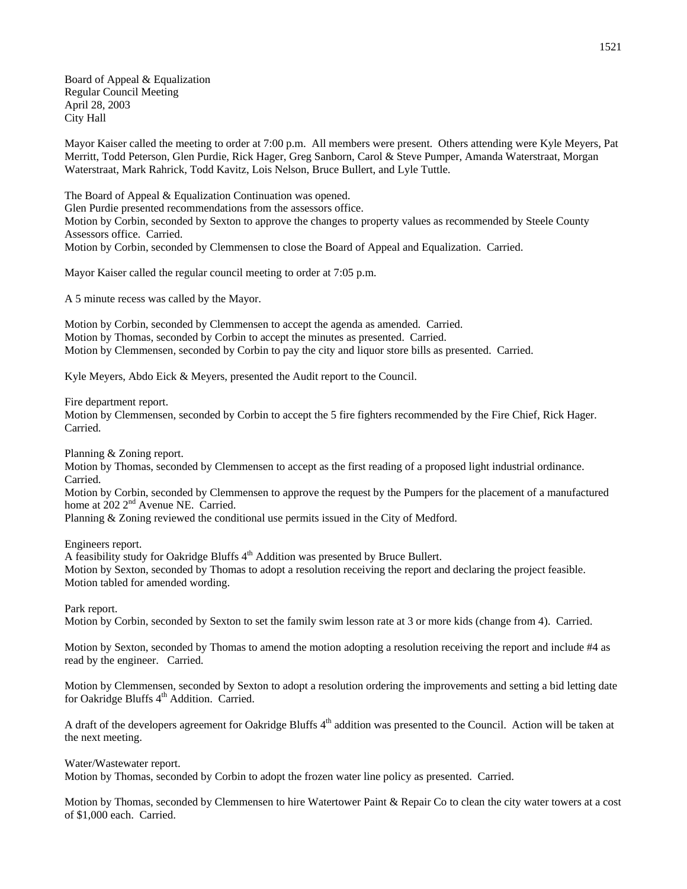Board of Appeal & Equalization Regular Council Meeting April 28, 2003 City Hall

Mayor Kaiser called the meeting to order at 7:00 p.m. All members were present. Others attending were Kyle Meyers, Pat Merritt, Todd Peterson, Glen Purdie, Rick Hager, Greg Sanborn, Carol & Steve Pumper, Amanda Waterstraat, Morgan Waterstraat, Mark Rahrick, Todd Kavitz, Lois Nelson, Bruce Bullert, and Lyle Tuttle.

The Board of Appeal & Equalization Continuation was opened. Glen Purdie presented recommendations from the assessors office. Motion by Corbin, seconded by Sexton to approve the changes to property values as recommended by Steele County Assessors office. Carried. Motion by Corbin, seconded by Clemmensen to close the Board of Appeal and Equalization. Carried.

Mayor Kaiser called the regular council meeting to order at 7:05 p.m.

A 5 minute recess was called by the Mayor.

Motion by Corbin, seconded by Clemmensen to accept the agenda as amended. Carried. Motion by Thomas, seconded by Corbin to accept the minutes as presented. Carried. Motion by Clemmensen, seconded by Corbin to pay the city and liquor store bills as presented. Carried.

Kyle Meyers, Abdo Eick & Meyers, presented the Audit report to the Council.

Fire department report.

Motion by Clemmensen, seconded by Corbin to accept the 5 fire fighters recommended by the Fire Chief, Rick Hager. Carried.

Planning & Zoning report.

Motion by Thomas, seconded by Clemmensen to accept as the first reading of a proposed light industrial ordinance. Carried.

Motion by Corbin, seconded by Clemmensen to approve the request by the Pumpers for the placement of a manufactured home at 202 2<sup>nd</sup> Avenue NE. Carried.

Planning & Zoning reviewed the conditional use permits issued in the City of Medford.

Engineers report.

A feasibility study for Oakridge Bluffs 4<sup>th</sup> Addition was presented by Bruce Bullert.

Motion by Sexton, seconded by Thomas to adopt a resolution receiving the report and declaring the project feasible. Motion tabled for amended wording.

Park report.

Motion by Corbin, seconded by Sexton to set the family swim lesson rate at 3 or more kids (change from 4). Carried.

Motion by Sexton, seconded by Thomas to amend the motion adopting a resolution receiving the report and include #4 as read by the engineer. Carried.

Motion by Clemmensen, seconded by Sexton to adopt a resolution ordering the improvements and setting a bid letting date for Oakridge Bluffs 4<sup>th</sup> Addition. Carried.

A draft of the developers agreement for Oakridge Bluffs  $4<sup>th</sup>$  addition was presented to the Council. Action will be taken at the next meeting.

Water/Wastewater report.

Motion by Thomas, seconded by Corbin to adopt the frozen water line policy as presented. Carried.

Motion by Thomas, seconded by Clemmensen to hire Watertower Paint & Repair Co to clean the city water towers at a cost of \$1,000 each. Carried.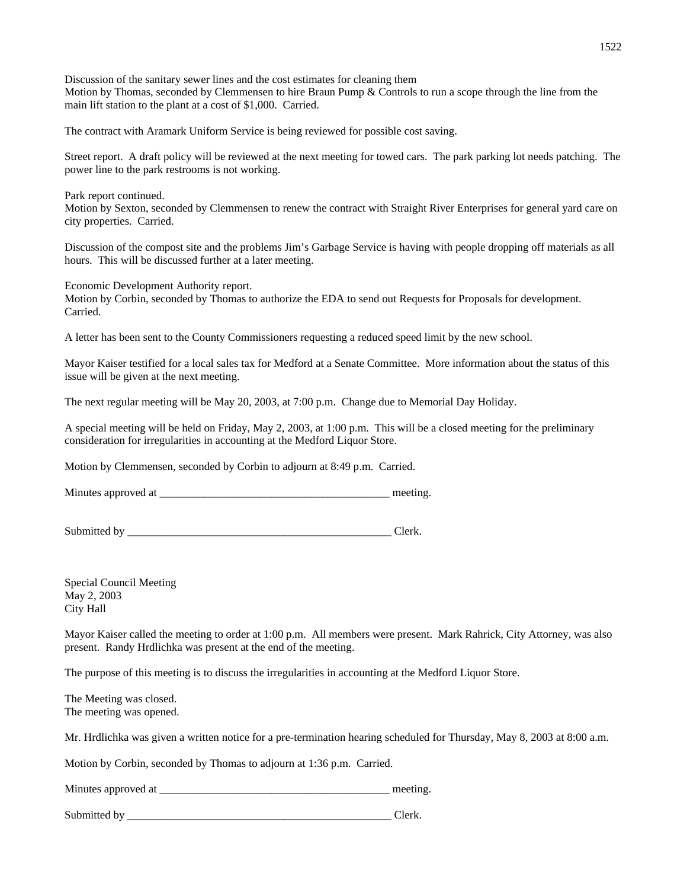Discussion of the sanitary sewer lines and the cost estimates for cleaning them Motion by Thomas, seconded by Clemmensen to hire Braun Pump & Controls to run a scope through the line from the main lift station to the plant at a cost of \$1,000. Carried.

The contract with Aramark Uniform Service is being reviewed for possible cost saving.

Street report. A draft policy will be reviewed at the next meeting for towed cars. The park parking lot needs patching. The power line to the park restrooms is not working.

Park report continued.

Motion by Sexton, seconded by Clemmensen to renew the contract with Straight River Enterprises for general yard care on city properties. Carried.

Discussion of the compost site and the problems Jim's Garbage Service is having with people dropping off materials as all hours. This will be discussed further at a later meeting.

Economic Development Authority report.

Motion by Corbin, seconded by Thomas to authorize the EDA to send out Requests for Proposals for development. Carried.

A letter has been sent to the County Commissioners requesting a reduced speed limit by the new school.

Mayor Kaiser testified for a local sales tax for Medford at a Senate Committee. More information about the status of this issue will be given at the next meeting.

The next regular meeting will be May 20, 2003, at 7:00 p.m. Change due to Memorial Day Holiday.

A special meeting will be held on Friday, May 2, 2003, at 1:00 p.m. This will be a closed meeting for the preliminary consideration for irregularities in accounting at the Medford Liquor Store.

Motion by Clemmensen, seconded by Corbin to adjourn at 8:49 p.m. Carried.

Minutes approved at the setting and the setting meeting.

Submitted by \_\_\_\_\_\_\_\_\_\_\_\_\_\_\_\_\_\_\_\_\_\_\_\_\_\_\_\_\_\_\_\_\_\_\_\_\_\_\_\_\_\_\_\_\_\_\_ Clerk.

Special Council Meeting May 2, 2003 City Hall

Mayor Kaiser called the meeting to order at 1:00 p.m. All members were present. Mark Rahrick, City Attorney, was also present. Randy Hrdlichka was present at the end of the meeting.

The purpose of this meeting is to discuss the irregularities in accounting at the Medford Liquor Store.

The Meeting was closed. The meeting was opened.

Mr. Hrdlichka was given a written notice for a pre-termination hearing scheduled for Thursday, May 8, 2003 at 8:00 a.m.

Motion by Corbin, seconded by Thomas to adjourn at 1:36 p.m. Carried.

Minutes approved at \_\_\_\_\_\_\_\_\_\_\_\_\_\_\_\_\_\_\_\_\_\_\_\_\_\_\_\_\_\_\_\_\_\_\_\_\_\_\_\_\_ meeting.

Submitted by \_\_\_\_\_\_\_\_\_\_\_\_\_\_\_\_\_\_\_\_\_\_\_\_\_\_\_\_\_\_\_\_\_\_\_\_\_\_\_\_\_\_\_\_\_\_\_ Clerk.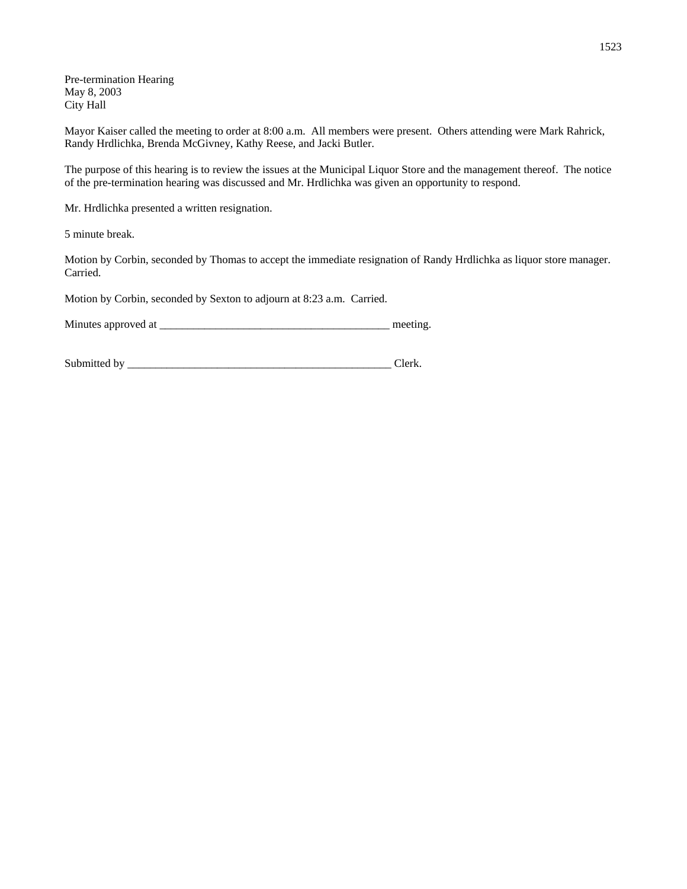Pre-termination Hearing May 8, 2003 City Hall

Mayor Kaiser called the meeting to order at 8:00 a.m. All members were present. Others attending were Mark Rahrick, Randy Hrdlichka, Brenda McGivney, Kathy Reese, and Jacki Butler.

The purpose of this hearing is to review the issues at the Municipal Liquor Store and the management thereof. The notice of the pre-termination hearing was discussed and Mr. Hrdlichka was given an opportunity to respond.

Mr. Hrdlichka presented a written resignation.

5 minute break.

Motion by Corbin, seconded by Thomas to accept the immediate resignation of Randy Hrdlichka as liquor store manager. Carried.

Motion by Corbin, seconded by Sexton to adjourn at 8:23 a.m. Carried.

Minutes approved at \_\_\_\_\_\_\_\_\_\_\_\_\_\_\_\_\_\_\_\_\_\_\_\_\_\_\_\_\_\_\_\_\_\_\_\_\_\_\_\_\_ meeting.

Submitted by \_\_\_\_\_\_\_\_\_\_\_\_\_\_\_\_\_\_\_\_\_\_\_\_\_\_\_\_\_\_\_\_\_\_\_\_\_\_\_\_\_\_\_\_\_\_\_ Clerk.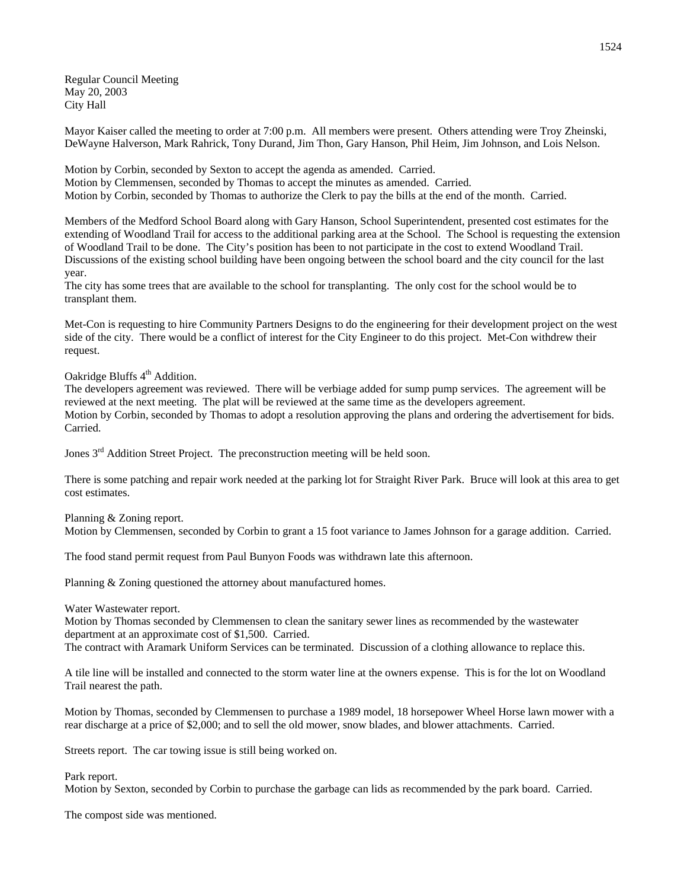Regular Council Meeting May 20, 2003 City Hall

Mayor Kaiser called the meeting to order at 7:00 p.m. All members were present. Others attending were Troy Zheinski, DeWayne Halverson, Mark Rahrick, Tony Durand, Jim Thon, Gary Hanson, Phil Heim, Jim Johnson, and Lois Nelson.

Motion by Corbin, seconded by Sexton to accept the agenda as amended. Carried. Motion by Clemmensen, seconded by Thomas to accept the minutes as amended. Carried. Motion by Corbin, seconded by Thomas to authorize the Clerk to pay the bills at the end of the month. Carried.

Members of the Medford School Board along with Gary Hanson, School Superintendent, presented cost estimates for the extending of Woodland Trail for access to the additional parking area at the School. The School is requesting the extension of Woodland Trail to be done. The City's position has been to not participate in the cost to extend Woodland Trail. Discussions of the existing school building have been ongoing between the school board and the city council for the last year.

The city has some trees that are available to the school for transplanting. The only cost for the school would be to transplant them.

Met-Con is requesting to hire Community Partners Designs to do the engineering for their development project on the west side of the city. There would be a conflict of interest for the City Engineer to do this project. Met-Con withdrew their request.

Oakridge Bluffs 4<sup>th</sup> Addition.

The developers agreement was reviewed. There will be verbiage added for sump pump services. The agreement will be reviewed at the next meeting. The plat will be reviewed at the same time as the developers agreement. Motion by Corbin, seconded by Thomas to adopt a resolution approving the plans and ordering the advertisement for bids. Carried.

Jones 3<sup>rd</sup> Addition Street Project. The preconstruction meeting will be held soon.

There is some patching and repair work needed at the parking lot for Straight River Park. Bruce will look at this area to get cost estimates.

Planning & Zoning report.

Motion by Clemmensen, seconded by Corbin to grant a 15 foot variance to James Johnson for a garage addition. Carried.

The food stand permit request from Paul Bunyon Foods was withdrawn late this afternoon.

Planning & Zoning questioned the attorney about manufactured homes.

Water Wastewater report.

Motion by Thomas seconded by Clemmensen to clean the sanitary sewer lines as recommended by the wastewater department at an approximate cost of \$1,500. Carried.

The contract with Aramark Uniform Services can be terminated. Discussion of a clothing allowance to replace this.

A tile line will be installed and connected to the storm water line at the owners expense. This is for the lot on Woodland Trail nearest the path.

Motion by Thomas, seconded by Clemmensen to purchase a 1989 model, 18 horsepower Wheel Horse lawn mower with a rear discharge at a price of \$2,000; and to sell the old mower, snow blades, and blower attachments. Carried.

Streets report. The car towing issue is still being worked on.

Park report.

Motion by Sexton, seconded by Corbin to purchase the garbage can lids as recommended by the park board. Carried.

The compost side was mentioned.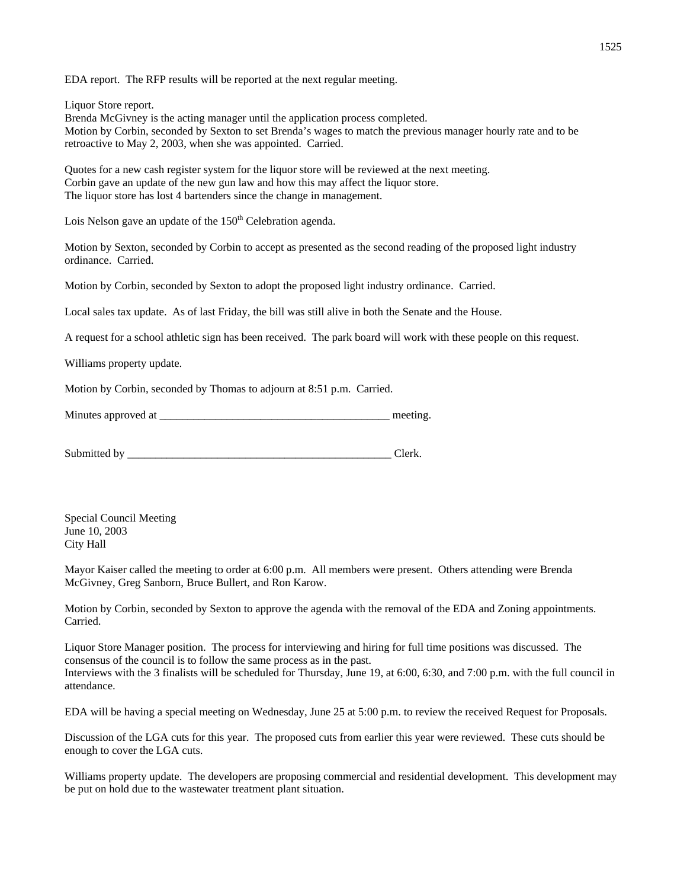EDA report. The RFP results will be reported at the next regular meeting.

Liquor Store report.

Brenda McGivney is the acting manager until the application process completed. Motion by Corbin, seconded by Sexton to set Brenda's wages to match the previous manager hourly rate and to be retroactive to May 2, 2003, when she was appointed. Carried.

Quotes for a new cash register system for the liquor store will be reviewed at the next meeting. Corbin gave an update of the new gun law and how this may affect the liquor store. The liquor store has lost 4 bartenders since the change in management.

Lois Nelson gave an update of the  $150<sup>th</sup>$  Celebration agenda.

Motion by Sexton, seconded by Corbin to accept as presented as the second reading of the proposed light industry ordinance. Carried.

Motion by Corbin, seconded by Sexton to adopt the proposed light industry ordinance. Carried.

Local sales tax update. As of last Friday, the bill was still alive in both the Senate and the House.

A request for a school athletic sign has been received. The park board will work with these people on this request.

Williams property update.

Motion by Corbin, seconded by Thomas to adjourn at 8:51 p.m. Carried.

Minutes approved at the setting and the setting meeting.

Submitted by Clerk.

Special Council Meeting June 10, 2003 City Hall

Mayor Kaiser called the meeting to order at 6:00 p.m. All members were present. Others attending were Brenda McGivney, Greg Sanborn, Bruce Bullert, and Ron Karow.

Motion by Corbin, seconded by Sexton to approve the agenda with the removal of the EDA and Zoning appointments. Carried.

Liquor Store Manager position. The process for interviewing and hiring for full time positions was discussed. The consensus of the council is to follow the same process as in the past. Interviews with the 3 finalists will be scheduled for Thursday, June 19, at 6:00, 6:30, and 7:00 p.m. with the full council in attendance.

EDA will be having a special meeting on Wednesday, June 25 at 5:00 p.m. to review the received Request for Proposals.

Discussion of the LGA cuts for this year. The proposed cuts from earlier this year were reviewed. These cuts should be enough to cover the LGA cuts.

Williams property update. The developers are proposing commercial and residential development. This development may be put on hold due to the wastewater treatment plant situation.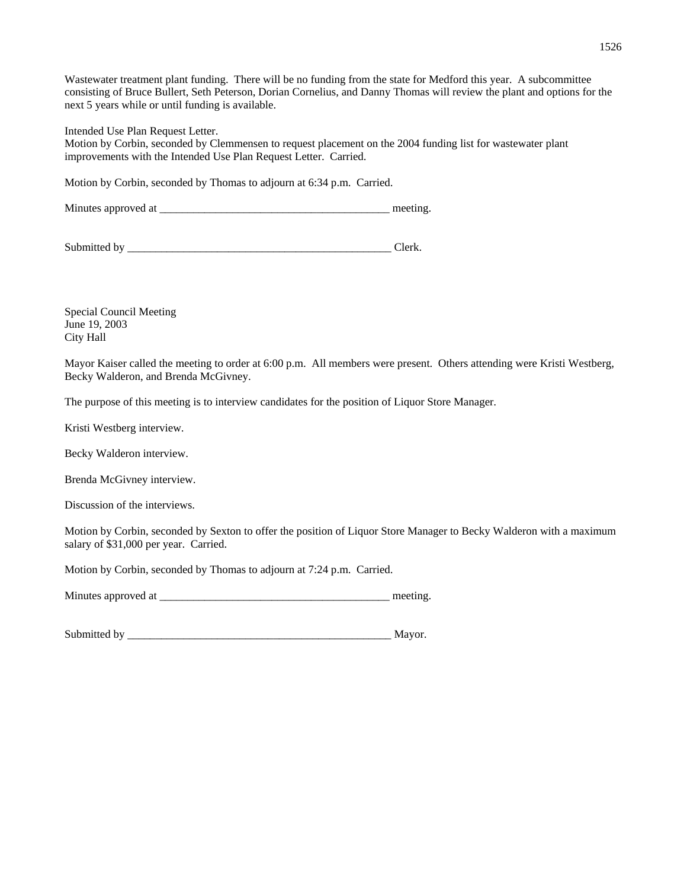Wastewater treatment plant funding. There will be no funding from the state for Medford this year. A subcommittee consisting of Bruce Bullert, Seth Peterson, Dorian Cornelius, and Danny Thomas will review the plant and options for the next 5 years while or until funding is available.

Intended Use Plan Request Letter.

Motion by Corbin, seconded by Clemmensen to request placement on the 2004 funding list for wastewater plant improvements with the Intended Use Plan Request Letter. Carried.

Motion by Corbin, seconded by Thomas to adjourn at 6:34 p.m. Carried.

Minutes approved at \_\_\_\_\_\_\_\_\_\_\_\_\_\_\_\_\_\_\_\_\_\_\_\_\_\_\_\_\_\_\_\_\_\_\_\_\_\_\_\_\_ meeting.

Submitted by \_\_\_\_\_\_\_\_\_\_\_\_\_\_\_\_\_\_\_\_\_\_\_\_\_\_\_\_\_\_\_\_\_\_\_\_\_\_\_\_\_\_\_\_\_\_\_ Clerk.

Special Council Meeting June 19, 2003 City Hall

Mayor Kaiser called the meeting to order at 6:00 p.m. All members were present. Others attending were Kristi Westberg, Becky Walderon, and Brenda McGivney.

The purpose of this meeting is to interview candidates for the position of Liquor Store Manager.

Kristi Westberg interview.

Becky Walderon interview.

Brenda McGivney interview.

Discussion of the interviews.

Motion by Corbin, seconded by Sexton to offer the position of Liquor Store Manager to Becky Walderon with a maximum salary of \$31,000 per year. Carried.

Motion by Corbin, seconded by Thomas to adjourn at 7:24 p.m. Carried.

Minutes approved at \_\_\_\_\_\_\_\_\_\_\_\_\_\_\_\_\_\_\_\_\_\_\_\_\_\_\_\_\_\_\_\_\_\_\_\_\_\_\_\_\_ meeting.

Submitted by \_\_\_\_\_\_\_\_\_\_\_\_\_\_\_\_\_\_\_\_\_\_\_\_\_\_\_\_\_\_\_\_\_\_\_\_\_\_\_\_\_\_\_\_\_\_\_ Mayor.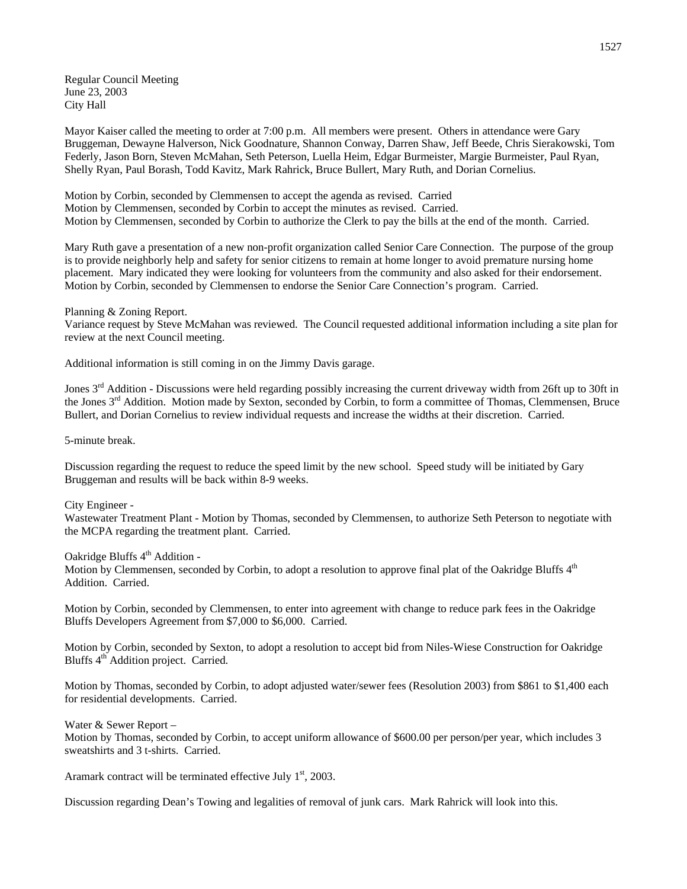Regular Council Meeting June 23, 2003 City Hall

Mayor Kaiser called the meeting to order at 7:00 p.m. All members were present. Others in attendance were Gary Bruggeman, Dewayne Halverson, Nick Goodnature, Shannon Conway, Darren Shaw, Jeff Beede, Chris Sierakowski, Tom Federly, Jason Born, Steven McMahan, Seth Peterson, Luella Heim, Edgar Burmeister, Margie Burmeister, Paul Ryan, Shelly Ryan, Paul Borash, Todd Kavitz, Mark Rahrick, Bruce Bullert, Mary Ruth, and Dorian Cornelius.

Motion by Corbin, seconded by Clemmensen to accept the agenda as revised. Carried Motion by Clemmensen, seconded by Corbin to accept the minutes as revised. Carried. Motion by Clemmensen, seconded by Corbin to authorize the Clerk to pay the bills at the end of the month. Carried.

Mary Ruth gave a presentation of a new non-profit organization called Senior Care Connection. The purpose of the group is to provide neighborly help and safety for senior citizens to remain at home longer to avoid premature nursing home placement. Mary indicated they were looking for volunteers from the community and also asked for their endorsement. Motion by Corbin, seconded by Clemmensen to endorse the Senior Care Connection's program. Carried.

Planning & Zoning Report. Variance request by Steve McMahan was reviewed. The Council requested additional information including a site plan for review at the next Council meeting.

Additional information is still coming in on the Jimmy Davis garage.

Jones  $3<sup>rd</sup>$  Addition - Discussions were held regarding possibly increasing the current driveway width from 26ft up to 30ft in the Jones 3<sup>rd</sup> Addition. Motion made by Sexton, seconded by Corbin, to form a committee of Thomas, Clemmensen, Bruce Bullert, and Dorian Cornelius to review individual requests and increase the widths at their discretion. Carried.

5-minute break.

Discussion regarding the request to reduce the speed limit by the new school. Speed study will be initiated by Gary Bruggeman and results will be back within 8-9 weeks.

City Engineer -

Wastewater Treatment Plant - Motion by Thomas, seconded by Clemmensen, to authorize Seth Peterson to negotiate with the MCPA regarding the treatment plant. Carried.

Oakridge Bluffs 4<sup>th</sup> Addition -

Motion by Clemmensen, seconded by Corbin, to adopt a resolution to approve final plat of the Oakridge Bluffs 4<sup>th</sup> Addition. Carried.

Motion by Corbin, seconded by Clemmensen, to enter into agreement with change to reduce park fees in the Oakridge Bluffs Developers Agreement from \$7,000 to \$6,000. Carried.

Motion by Corbin, seconded by Sexton, to adopt a resolution to accept bid from Niles-Wiese Construction for Oakridge Bluffs 4<sup>th</sup> Addition project. Carried.

Motion by Thomas, seconded by Corbin, to adopt adjusted water/sewer fees (Resolution 2003) from \$861 to \$1,400 each for residential developments. Carried.

Water & Sewer Report –

Motion by Thomas, seconded by Corbin, to accept uniform allowance of \$600.00 per person/per year, which includes 3 sweatshirts and 3 t-shirts. Carried.

Aramark contract will be terminated effective July  $1<sup>st</sup>$ , 2003.

Discussion regarding Dean's Towing and legalities of removal of junk cars. Mark Rahrick will look into this.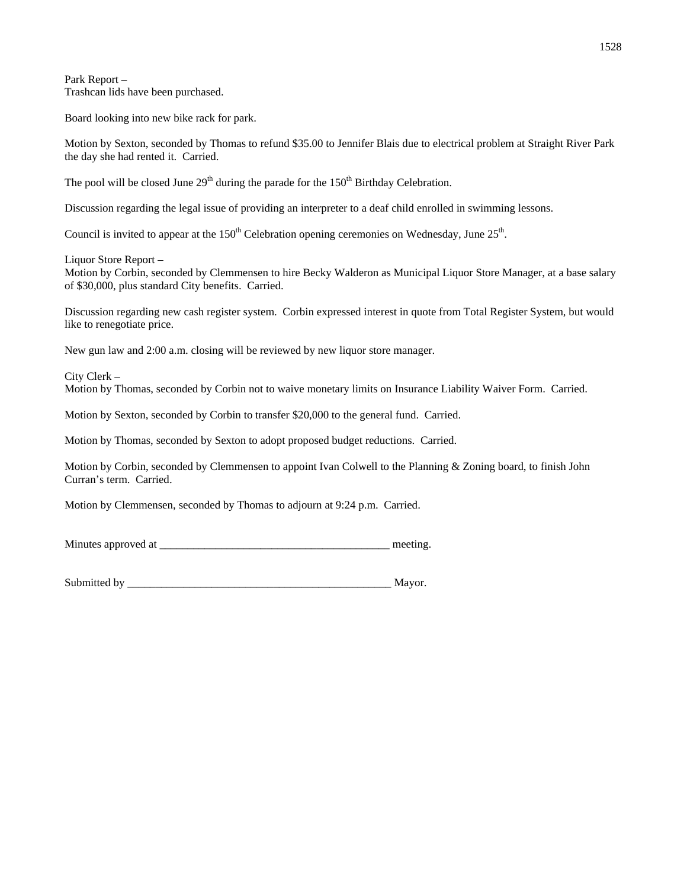Park Report – Trashcan lids have been purchased.

Board looking into new bike rack for park.

Motion by Sexton, seconded by Thomas to refund \$35.00 to Jennifer Blais due to electrical problem at Straight River Park the day she had rented it. Carried.

The pool will be closed June  $29<sup>th</sup>$  during the parade for the  $150<sup>th</sup>$  Birthday Celebration.

Discussion regarding the legal issue of providing an interpreter to a deaf child enrolled in swimming lessons.

Council is invited to appear at the 150<sup>th</sup> Celebration opening ceremonies on Wednesday, June 25<sup>th</sup>.

Liquor Store Report –

Motion by Corbin, seconded by Clemmensen to hire Becky Walderon as Municipal Liquor Store Manager, at a base salary of \$30,000, plus standard City benefits. Carried.

Discussion regarding new cash register system. Corbin expressed interest in quote from Total Register System, but would like to renegotiate price.

New gun law and 2:00 a.m. closing will be reviewed by new liquor store manager.

City Clerk –

Motion by Thomas, seconded by Corbin not to waive monetary limits on Insurance Liability Waiver Form. Carried.

Motion by Sexton, seconded by Corbin to transfer \$20,000 to the general fund. Carried.

Motion by Thomas, seconded by Sexton to adopt proposed budget reductions. Carried.

Motion by Corbin, seconded by Clemmensen to appoint Ivan Colwell to the Planning & Zoning board, to finish John Curran's term. Carried.

Motion by Clemmensen, seconded by Thomas to adjourn at 9:24 p.m. Carried.

Minutes approved at \_\_\_\_\_\_\_\_\_\_\_\_\_\_\_\_\_\_\_\_\_\_\_\_\_\_\_\_\_\_\_\_\_\_\_\_\_\_\_\_\_ meeting.

Submitted by \_\_\_\_\_\_\_\_\_\_\_\_\_\_\_\_\_\_\_\_\_\_\_\_\_\_\_\_\_\_\_\_\_\_\_\_\_\_\_\_\_\_\_\_\_\_\_ Mayor.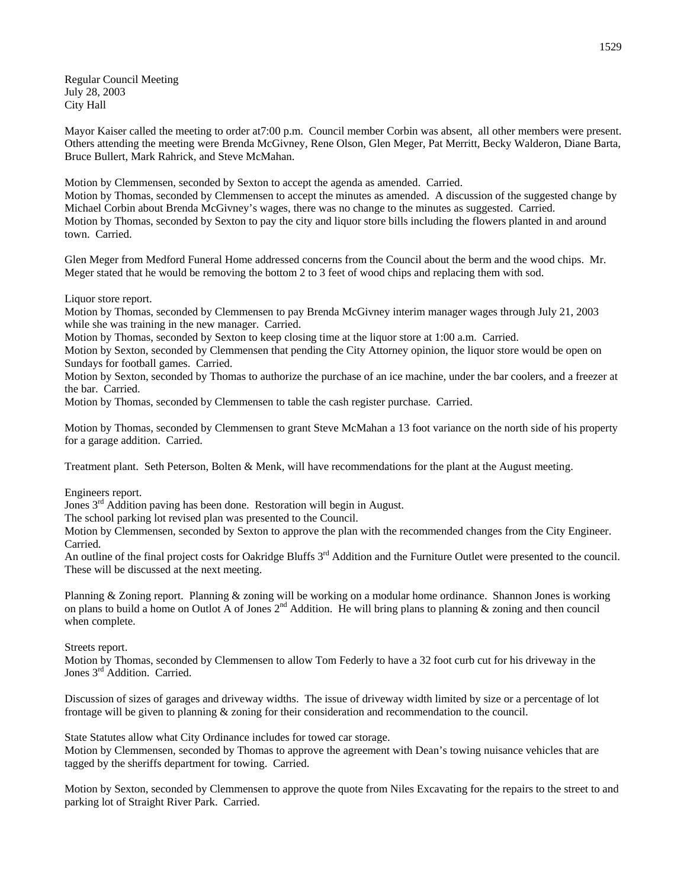Regular Council Meeting July 28, 2003 City Hall

Mayor Kaiser called the meeting to order at 7:00 p.m. Council member Corbin was absent, all other members were present. Others attending the meeting were Brenda McGivney, Rene Olson, Glen Meger, Pat Merritt, Becky Walderon, Diane Barta, Bruce Bullert, Mark Rahrick, and Steve McMahan.

Motion by Clemmensen, seconded by Sexton to accept the agenda as amended. Carried.

Motion by Thomas, seconded by Clemmensen to accept the minutes as amended. A discussion of the suggested change by Michael Corbin about Brenda McGivney's wages, there was no change to the minutes as suggested. Carried. Motion by Thomas, seconded by Sexton to pay the city and liquor store bills including the flowers planted in and around town. Carried.

Glen Meger from Medford Funeral Home addressed concerns from the Council about the berm and the wood chips. Mr. Meger stated that he would be removing the bottom 2 to 3 feet of wood chips and replacing them with sod.

Liquor store report.

Motion by Thomas, seconded by Clemmensen to pay Brenda McGivney interim manager wages through July 21, 2003 while she was training in the new manager. Carried.

Motion by Thomas, seconded by Sexton to keep closing time at the liquor store at 1:00 a.m. Carried.

Motion by Sexton, seconded by Clemmensen that pending the City Attorney opinion, the liquor store would be open on Sundays for football games. Carried.

Motion by Sexton, seconded by Thomas to authorize the purchase of an ice machine, under the bar coolers, and a freezer at the bar. Carried.

Motion by Thomas, seconded by Clemmensen to table the cash register purchase. Carried.

Motion by Thomas, seconded by Clemmensen to grant Steve McMahan a 13 foot variance on the north side of his property for a garage addition. Carried.

Treatment plant. Seth Peterson, Bolten & Menk, will have recommendations for the plant at the August meeting.

Engineers report.

Jones  $3<sup>rd</sup>$  Addition paving has been done. Restoration will begin in August.

The school parking lot revised plan was presented to the Council.

Motion by Clemmensen, seconded by Sexton to approve the plan with the recommended changes from the City Engineer. Carried.

An outline of the final project costs for Oakridge Bluffs 3<sup>rd</sup> Addition and the Furniture Outlet were presented to the council. These will be discussed at the next meeting.

Planning & Zoning report. Planning & zoning will be working on a modular home ordinance. Shannon Jones is working on plans to build a home on Outlot A of Jones  $2^{nd}$  Addition. He will bring plans to planning & zoning and then council when complete.

Streets report.

Motion by Thomas, seconded by Clemmensen to allow Tom Federly to have a 32 foot curb cut for his driveway in the Jones 3<sup>rd</sup> Addition. Carried.

Discussion of sizes of garages and driveway widths. The issue of driveway width limited by size or a percentage of lot frontage will be given to planning & zoning for their consideration and recommendation to the council.

State Statutes allow what City Ordinance includes for towed car storage. Motion by Clemmensen, seconded by Thomas to approve the agreement with Dean's towing nuisance vehicles that are tagged by the sheriffs department for towing. Carried.

Motion by Sexton, seconded by Clemmensen to approve the quote from Niles Excavating for the repairs to the street to and parking lot of Straight River Park. Carried.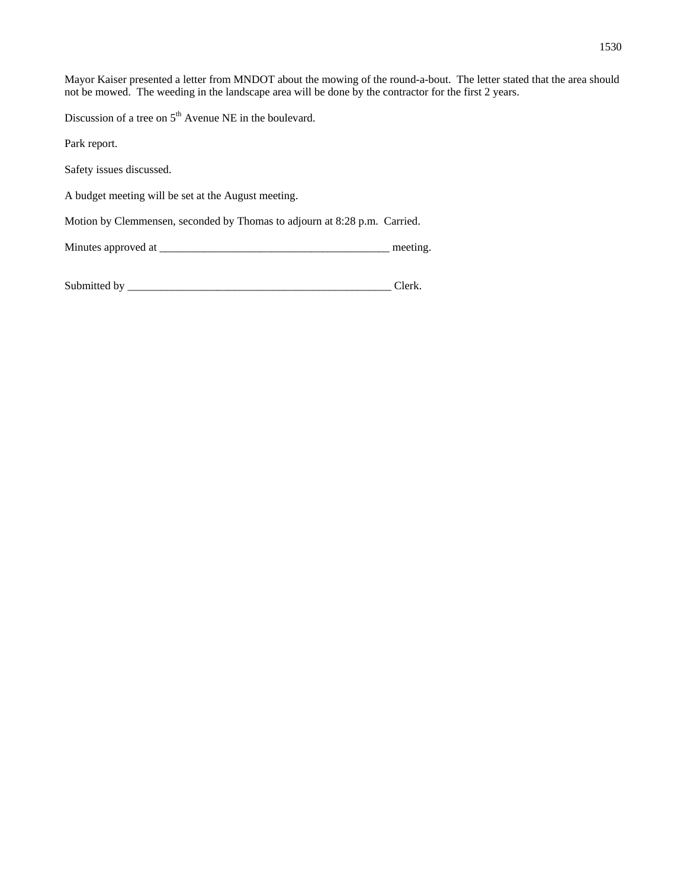Mayor Kaiser presented a letter from MNDOT about the mowing of the round-a-bout. The letter stated that the area should not be mowed. The weeding in the landscape area will be done by the contractor for the first 2 years.

Discussion of a tree on  $5<sup>th</sup>$  Avenue NE in the boulevard.

Park report.

Safety issues discussed.

A budget meeting will be set at the August meeting.

Motion by Clemmensen, seconded by Thomas to adjourn at 8:28 p.m. Carried.

Minutes approved at \_\_\_\_\_\_\_\_\_\_\_\_\_\_\_\_\_\_\_\_\_\_\_\_\_\_\_\_\_\_\_\_\_\_\_\_\_\_\_\_\_ meeting.

| Submitted by |  |
|--------------|--|
|--------------|--|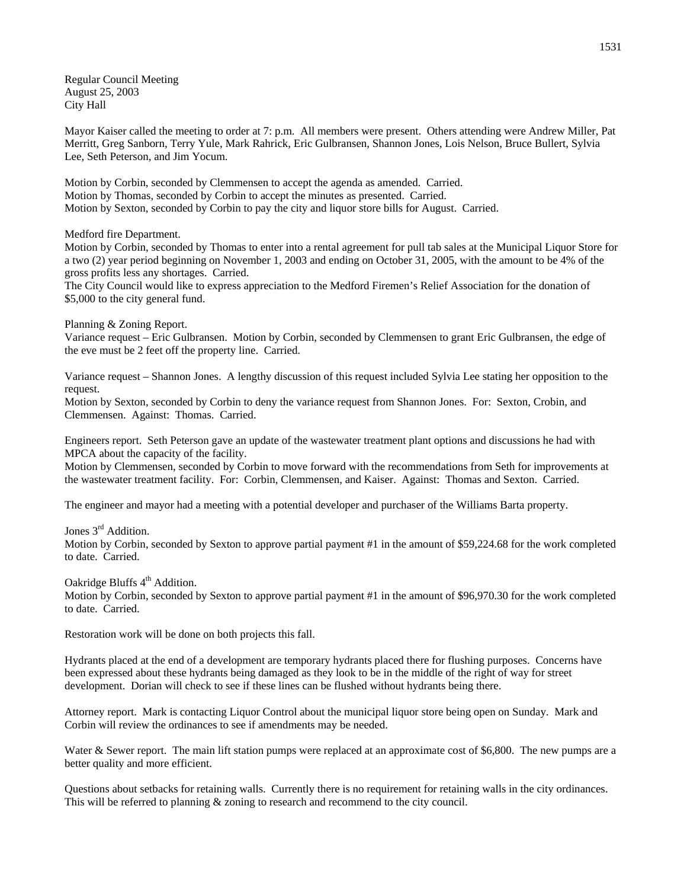Regular Council Meeting August 25, 2003 City Hall

Mayor Kaiser called the meeting to order at 7: p.m. All members were present. Others attending were Andrew Miller, Pat Merritt, Greg Sanborn, Terry Yule, Mark Rahrick, Eric Gulbransen, Shannon Jones, Lois Nelson, Bruce Bullert, Sylvia Lee, Seth Peterson, and Jim Yocum.

Motion by Corbin, seconded by Clemmensen to accept the agenda as amended. Carried. Motion by Thomas, seconded by Corbin to accept the minutes as presented. Carried. Motion by Sexton, seconded by Corbin to pay the city and liquor store bills for August. Carried.

Medford fire Department.

Motion by Corbin, seconded by Thomas to enter into a rental agreement for pull tab sales at the Municipal Liquor Store for a two (2) year period beginning on November 1, 2003 and ending on October 31, 2005, with the amount to be 4% of the gross profits less any shortages. Carried.

The City Council would like to express appreciation to the Medford Firemen's Relief Association for the donation of \$5,000 to the city general fund.

Planning & Zoning Report.

Variance request – Eric Gulbransen. Motion by Corbin, seconded by Clemmensen to grant Eric Gulbransen, the edge of the eve must be 2 feet off the property line. Carried.

Variance request – Shannon Jones. A lengthy discussion of this request included Sylvia Lee stating her opposition to the request.

Motion by Sexton, seconded by Corbin to deny the variance request from Shannon Jones. For: Sexton, Crobin, and Clemmensen. Against: Thomas. Carried.

Engineers report. Seth Peterson gave an update of the wastewater treatment plant options and discussions he had with MPCA about the capacity of the facility.

Motion by Clemmensen, seconded by Corbin to move forward with the recommendations from Seth for improvements at the wastewater treatment facility. For: Corbin, Clemmensen, and Kaiser. Against: Thomas and Sexton. Carried.

The engineer and mayor had a meeting with a potential developer and purchaser of the Williams Barta property.

Jones 3<sup>rd</sup> Addition.

Motion by Corbin, seconded by Sexton to approve partial payment #1 in the amount of \$59,224.68 for the work completed to date. Carried.

Oakridge Bluffs 4<sup>th</sup> Addition.

Motion by Corbin, seconded by Sexton to approve partial payment #1 in the amount of \$96,970.30 for the work completed to date. Carried.

Restoration work will be done on both projects this fall.

Hydrants placed at the end of a development are temporary hydrants placed there for flushing purposes. Concerns have been expressed about these hydrants being damaged as they look to be in the middle of the right of way for street development. Dorian will check to see if these lines can be flushed without hydrants being there.

Attorney report. Mark is contacting Liquor Control about the municipal liquor store being open on Sunday. Mark and Corbin will review the ordinances to see if amendments may be needed.

Water & Sewer report. The main lift station pumps were replaced at an approximate cost of \$6,800. The new pumps are a better quality and more efficient.

Questions about setbacks for retaining walls. Currently there is no requirement for retaining walls in the city ordinances. This will be referred to planning & zoning to research and recommend to the city council.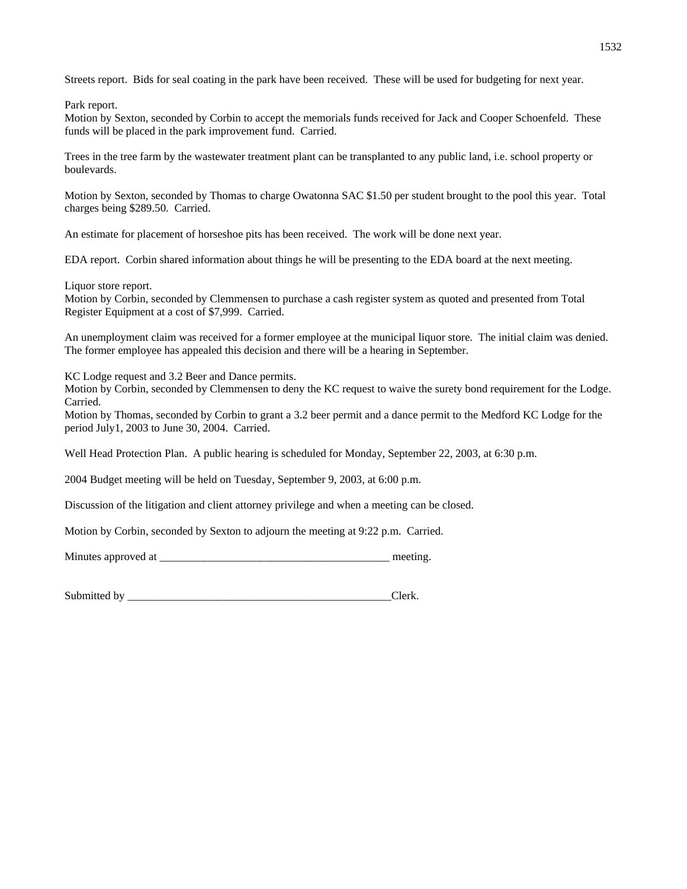Streets report. Bids for seal coating in the park have been received. These will be used for budgeting for next year.

Park report.

Motion by Sexton, seconded by Corbin to accept the memorials funds received for Jack and Cooper Schoenfeld. These funds will be placed in the park improvement fund. Carried.

Trees in the tree farm by the wastewater treatment plant can be transplanted to any public land, i.e. school property or boulevards.

Motion by Sexton, seconded by Thomas to charge Owatonna SAC \$1.50 per student brought to the pool this year. Total charges being \$289.50. Carried.

An estimate for placement of horseshoe pits has been received. The work will be done next year.

EDA report. Corbin shared information about things he will be presenting to the EDA board at the next meeting.

Liquor store report.

Motion by Corbin, seconded by Clemmensen to purchase a cash register system as quoted and presented from Total Register Equipment at a cost of \$7,999. Carried.

An unemployment claim was received for a former employee at the municipal liquor store. The initial claim was denied. The former employee has appealed this decision and there will be a hearing in September.

KC Lodge request and 3.2 Beer and Dance permits.

Motion by Corbin, seconded by Clemmensen to deny the KC request to waive the surety bond requirement for the Lodge. Carried.

Motion by Thomas, seconded by Corbin to grant a 3.2 beer permit and a dance permit to the Medford KC Lodge for the period July1, 2003 to June 30, 2004. Carried.

Well Head Protection Plan. A public hearing is scheduled for Monday, September 22, 2003, at 6:30 p.m.

2004 Budget meeting will be held on Tuesday, September 9, 2003, at 6:00 p.m.

Discussion of the litigation and client attorney privilege and when a meeting can be closed.

Motion by Corbin, seconded by Sexton to adjourn the meeting at 9:22 p.m. Carried.

Minutes approved at the setting.

Submitted by Clerk.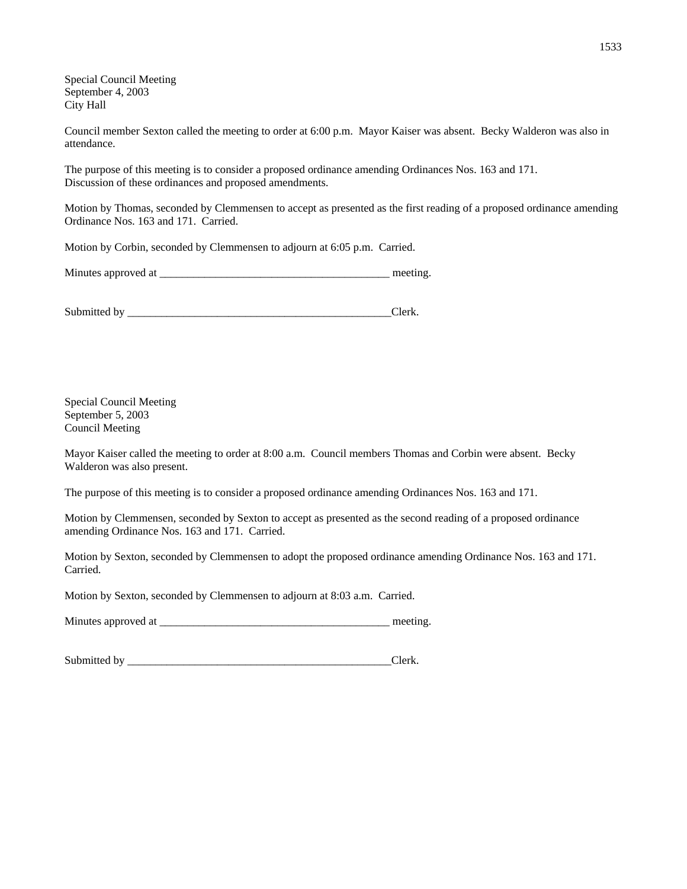Special Council Meeting September 4, 2003 City Hall

Council member Sexton called the meeting to order at 6:00 p.m. Mayor Kaiser was absent. Becky Walderon was also in attendance.

The purpose of this meeting is to consider a proposed ordinance amending Ordinances Nos. 163 and 171. Discussion of these ordinances and proposed amendments.

Motion by Thomas, seconded by Clemmensen to accept as presented as the first reading of a proposed ordinance amending Ordinance Nos. 163 and 171. Carried.

Motion by Corbin, seconded by Clemmensen to adjourn at 6:05 p.m. Carried.

| Minutes approved at | meeting |
|---------------------|---------|
|---------------------|---------|

Submitted by \_\_\_\_\_\_\_\_\_\_\_\_\_\_\_\_\_\_\_\_\_\_\_\_\_\_\_\_\_\_\_\_\_\_\_\_\_\_\_\_\_\_\_\_\_\_\_Clerk.

Special Council Meeting September 5, 2003 Council Meeting

Mayor Kaiser called the meeting to order at 8:00 a.m. Council members Thomas and Corbin were absent. Becky Walderon was also present.

The purpose of this meeting is to consider a proposed ordinance amending Ordinances Nos. 163 and 171.

Motion by Clemmensen, seconded by Sexton to accept as presented as the second reading of a proposed ordinance amending Ordinance Nos. 163 and 171. Carried.

Motion by Sexton, seconded by Clemmensen to adopt the proposed ordinance amending Ordinance Nos. 163 and 171. Carried.

Motion by Sexton, seconded by Clemmensen to adjourn at 8:03 a.m. Carried.

Minutes approved at \_\_\_\_\_\_\_\_\_\_\_\_\_\_\_\_\_\_\_\_\_\_\_\_\_\_\_\_\_\_\_\_\_\_\_\_\_\_\_\_\_ meeting.

Submitted by \_\_\_\_\_\_\_\_\_\_\_\_\_\_\_\_\_\_\_\_\_\_\_\_\_\_\_\_\_\_\_\_\_\_\_\_\_\_\_\_\_\_\_\_\_\_\_Clerk.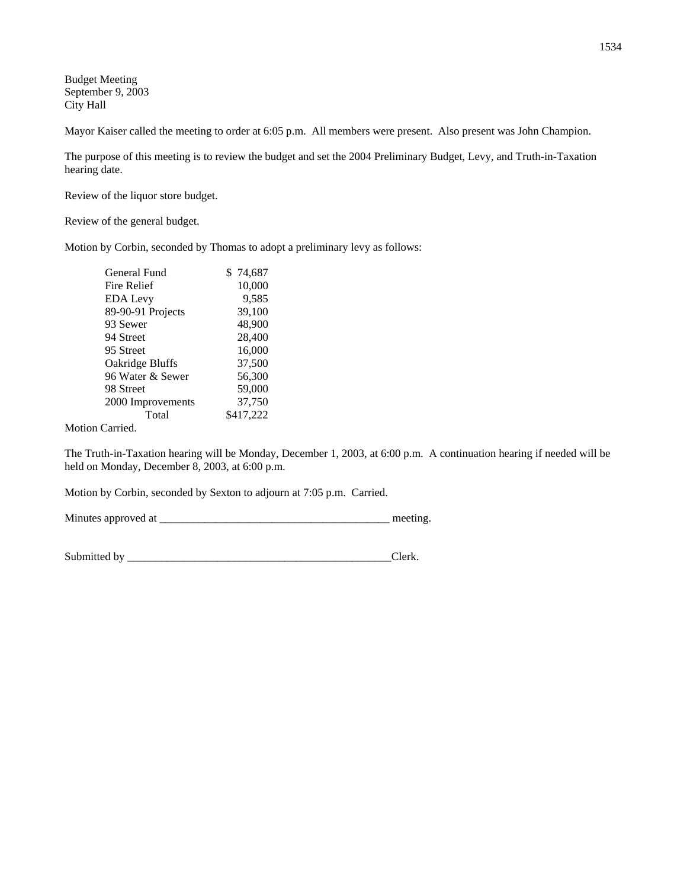Budget Meeting September 9, 2003 City Hall

Mayor Kaiser called the meeting to order at 6:05 p.m. All members were present. Also present was John Champion.

The purpose of this meeting is to review the budget and set the 2004 Preliminary Budget, Levy, and Truth-in-Taxation hearing date.

Review of the liquor store budget.

Review of the general budget.

Motion by Corbin, seconded by Thomas to adopt a preliminary levy as follows:

| General Fund      | \$74,687  |
|-------------------|-----------|
| Fire Relief       | 10,000    |
| EDA Levy          | 9,585     |
| 89-90-91 Projects | 39,100    |
| 93 Sewer          | 48,900    |
| 94 Street         | 28,400    |
| 95 Street         | 16,000    |
| Oakridge Bluffs   | 37,500    |
| 96 Water & Sewer  | 56,300    |
| 98 Street         | 59,000    |
| 2000 Improvements | 37,750    |
| Total             | \$417,222 |
|                   |           |

Motion Carried.

The Truth-in-Taxation hearing will be Monday, December 1, 2003, at 6:00 p.m. A continuation hearing if needed will be held on Monday, December 8, 2003, at 6:00 p.m.

Motion by Corbin, seconded by Sexton to adjourn at 7:05 p.m. Carried.

Minutes approved at \_\_\_\_\_\_\_\_\_\_\_\_\_\_\_\_\_\_\_\_\_\_\_\_\_\_\_\_\_\_\_\_\_\_\_\_\_\_\_\_\_ meeting.

Submitted by \_\_\_\_\_\_\_\_\_\_\_\_\_\_\_\_\_\_\_\_\_\_\_\_\_\_\_\_\_\_\_\_\_\_\_\_\_\_\_\_\_\_\_\_\_\_\_Clerk.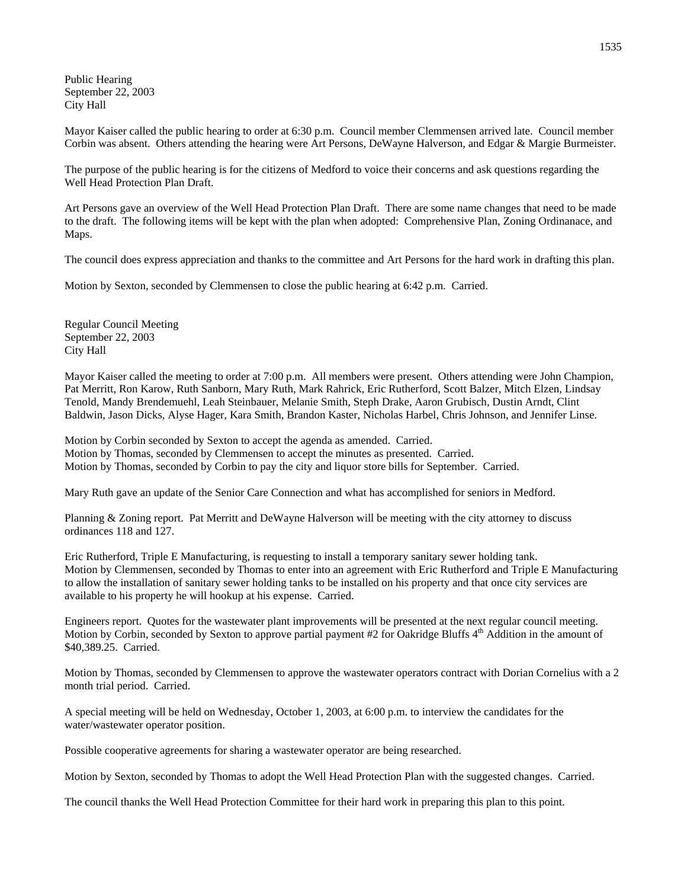Public Hearing September 22, 2003 City Hall

Mayor Kaiser called the public hearing to order at 6:30 p.m. Council member Clemmensen arrived late. Council member Corbin was absent. Others attending the hearing were Art Persons, DeWayne Halverson, and Edgar & Margie Burmeister.

The purpose of the public hearing is for the citizens of Medford to voice their concerns and ask questions regarding the Well Head Protection Plan Draft.

Art Persons gave an overview of the Well Head Protection Plan Draft. There are some name changes that need to be made to the draft. The following items will be kept with the plan when adopted: Comprehensive Plan, Zoning Ordinanace, and Maps.

The council does express appreciation and thanks to the committee and Art Persons for the hard work in drafting this plan.

Motion by Sexton, seconded by Clemmensen to close the public hearing at 6:42 p.m. Carried.

Regular Council Meeting September 22, 2003 City Hall

Mayor Kaiser called the meeting to order at 7:00 p.m. All members were present. Others attending were John Champion, Pat Merritt, Ron Karow, Ruth Sanborn, Mary Ruth, Mark Rahrick, Eric Rutherford, Scott Balzer, Mitch Elzen, Lindsay Tenold, Mandy Brendemuehl, Leah Steinbauer, Melanie Smith, Steph Drake, Aaron Grubisch, Dustin Arndt, Clint Baldwin, Jason Dicks, Alyse Hager, Kara Smith, Brandon Kaster, Nicholas Harbel, Chris Johnson, and Jennifer Linse.

Motion by Corbin seconded by Sexton to accept the agenda as amended. Carried. Motion by Thomas, seconded by Clemmensen to accept the minutes as presented. Carried. Motion by Thomas, seconded by Corbin to pay the city and liquor store bills for September. Carried.

Mary Ruth gave an update of the Senior Care Connection and what has accomplished for seniors in Medford.

Planning & Zoning report. Pat Merritt and DeWayne Halverson will be meeting with the city attorney to discuss ordinances 118 and 127.

Eric Rutherford, Triple E Manufacturing, is requesting to install a temporary sanitary sewer holding tank. Motion by Clemmensen, seconded by Thomas to enter into an agreement with Eric Rutherford and Triple E Manufacturing to allow the installation of sanitary sewer holding tanks to be installed on his property and that once city services are available to his property he will hookup at his expense. Carried.

Engineers report. Quotes for the wastewater plant improvements will be presented at the next regular council meeting. Motion by Corbin, seconded by Sexton to approve partial payment #2 for Oakridge Bluffs 4<sup>th</sup> Addition in the amount of \$40,389.25. Carried.

Motion by Thomas, seconded by Clemmensen to approve the wastewater operators contract with Dorian Cornelius with a 2 month trial period. Carried.

A special meeting will be held on Wednesday, October 1, 2003, at 6:00 p.m. to interview the candidates for the water/wastewater operator position.

Possible cooperative agreements for sharing a wastewater operator are being researched.

Motion by Sexton, seconded by Thomas to adopt the Well Head Protection Plan with the suggested changes. Carried.

The council thanks the Well Head Protection Committee for their hard work in preparing this plan to this point.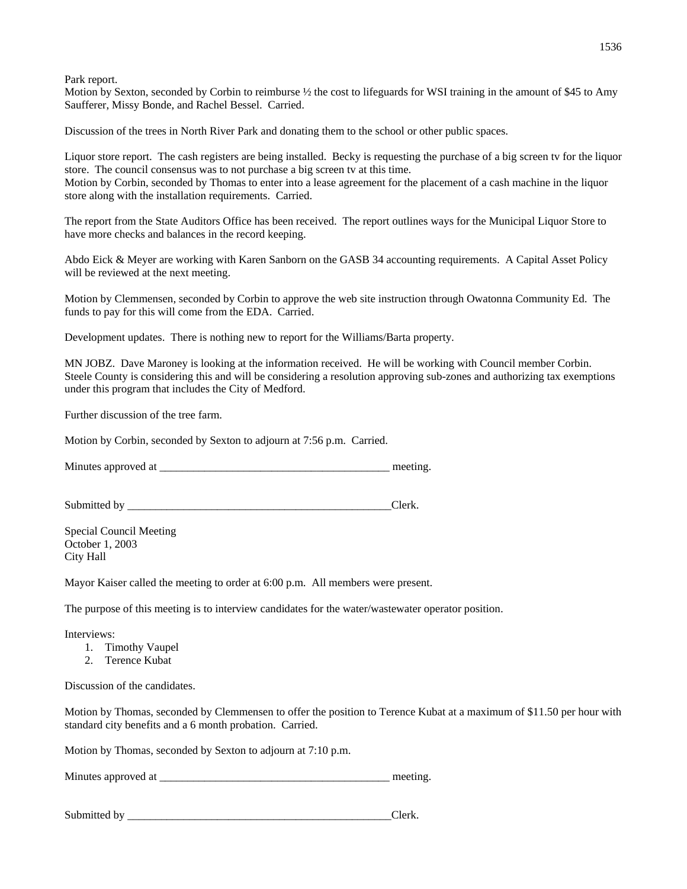Park report.

Motion by Sexton, seconded by Corbin to reimburse  $\frac{1}{2}$  the cost to lifeguards for WSI training in the amount of \$45 to Amy Saufferer, Missy Bonde, and Rachel Bessel. Carried.

Discussion of the trees in North River Park and donating them to the school or other public spaces.

Liquor store report. The cash registers are being installed. Becky is requesting the purchase of a big screen tv for the liquor store. The council consensus was to not purchase a big screen tv at this time. Motion by Corbin, seconded by Thomas to enter into a lease agreement for the placement of a cash machine in the liquor store along with the installation requirements. Carried.

The report from the State Auditors Office has been received. The report outlines ways for the Municipal Liquor Store to have more checks and balances in the record keeping.

Abdo Eick & Meyer are working with Karen Sanborn on the GASB 34 accounting requirements. A Capital Asset Policy will be reviewed at the next meeting.

Motion by Clemmensen, seconded by Corbin to approve the web site instruction through Owatonna Community Ed. The funds to pay for this will come from the EDA. Carried.

Development updates. There is nothing new to report for the Williams/Barta property.

MN JOBZ. Dave Maroney is looking at the information received. He will be working with Council member Corbin. Steele County is considering this and will be considering a resolution approving sub-zones and authorizing tax exemptions under this program that includes the City of Medford.

Further discussion of the tree farm.

Motion by Corbin, seconded by Sexton to adjourn at 7:56 p.m. Carried.

Minutes approved at \_\_\_\_\_\_\_\_\_\_\_\_\_\_\_\_\_\_\_\_\_\_\_\_\_\_\_\_\_\_\_\_\_\_\_\_\_\_\_\_\_ meeting.

Submitted by \_\_\_\_\_\_\_\_\_\_\_\_\_\_\_\_\_\_\_\_\_\_\_\_\_\_\_\_\_\_\_\_\_\_\_\_\_\_\_\_\_\_\_\_\_\_\_Clerk.

Special Council Meeting October 1, 2003 City Hall

Mayor Kaiser called the meeting to order at 6:00 p.m. All members were present.

The purpose of this meeting is to interview candidates for the water/wastewater operator position.

Interviews:

- 1. Timothy Vaupel
- 2. Terence Kubat

Discussion of the candidates.

Motion by Thomas, seconded by Clemmensen to offer the position to Terence Kubat at a maximum of \$11.50 per hour with standard city benefits and a 6 month probation. Carried.

Motion by Thomas, seconded by Sexton to adjourn at 7:10 p.m.

Minutes approved at \_\_\_\_\_\_\_\_\_\_\_\_\_\_\_\_\_\_\_\_\_\_\_\_\_\_\_\_\_\_\_\_\_\_\_\_\_\_\_\_\_ meeting.

| Submitted by |  |
|--------------|--|
|              |  |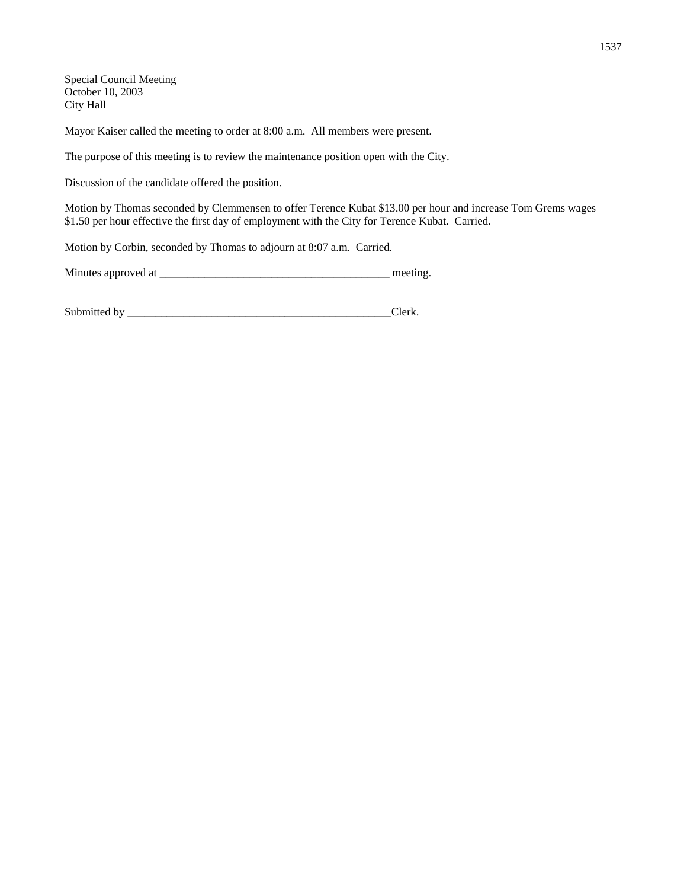Special Council Meeting October 10, 2003 City Hall

Mayor Kaiser called the meeting to order at 8:00 a.m. All members were present.

The purpose of this meeting is to review the maintenance position open with the City.

Discussion of the candidate offered the position.

Motion by Thomas seconded by Clemmensen to offer Terence Kubat \$13.00 per hour and increase Tom Grems wages \$1.50 per hour effective the first day of employment with the City for Terence Kubat. Carried.

Motion by Corbin, seconded by Thomas to adjourn at 8:07 a.m. Carried.

| Minutes approved at |  | meeting |
|---------------------|--|---------|
|---------------------|--|---------|

| Submitted b |  |
|-------------|--|
|             |  |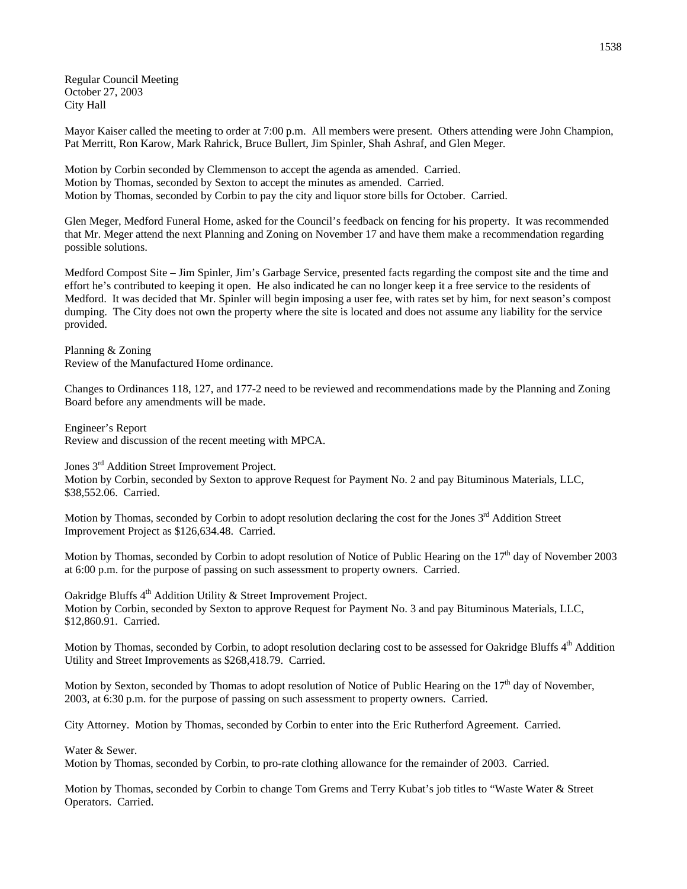Regular Council Meeting October 27, 2003 City Hall

Mayor Kaiser called the meeting to order at 7:00 p.m. All members were present. Others attending were John Champion, Pat Merritt, Ron Karow, Mark Rahrick, Bruce Bullert, Jim Spinler, Shah Ashraf, and Glen Meger.

Motion by Corbin seconded by Clemmenson to accept the agenda as amended. Carried. Motion by Thomas, seconded by Sexton to accept the minutes as amended. Carried. Motion by Thomas, seconded by Corbin to pay the city and liquor store bills for October. Carried.

Glen Meger, Medford Funeral Home, asked for the Council's feedback on fencing for his property. It was recommended that Mr. Meger attend the next Planning and Zoning on November 17 and have them make a recommendation regarding possible solutions.

Medford Compost Site – Jim Spinler, Jim's Garbage Service, presented facts regarding the compost site and the time and effort he's contributed to keeping it open. He also indicated he can no longer keep it a free service to the residents of Medford. It was decided that Mr. Spinler will begin imposing a user fee, with rates set by him, for next season's compost dumping. The City does not own the property where the site is located and does not assume any liability for the service provided.

Planning & Zoning Review of the Manufactured Home ordinance.

Changes to Ordinances 118, 127, and 177-2 need to be reviewed and recommendations made by the Planning and Zoning Board before any amendments will be made.

Engineer's Report Review and discussion of the recent meeting with MPCA.

Jones 3rd Addition Street Improvement Project. Motion by Corbin, seconded by Sexton to approve Request for Payment No. 2 and pay Bituminous Materials, LLC, \$38,552.06. Carried.

Motion by Thomas, seconded by Corbin to adopt resolution declaring the cost for the Jones 3<sup>rd</sup> Addition Street Improvement Project as \$126,634.48. Carried.

Motion by Thomas, seconded by Corbin to adopt resolution of Notice of Public Hearing on the  $17<sup>th</sup>$  day of November 2003 at 6:00 p.m. for the purpose of passing on such assessment to property owners. Carried.

Oakridge Bluffs 4<sup>th</sup> Addition Utility & Street Improvement Project. Motion by Corbin, seconded by Sexton to approve Request for Payment No. 3 and pay Bituminous Materials, LLC, \$12,860.91. Carried.

Motion by Thomas, seconded by Corbin, to adopt resolution declaring cost to be assessed for Oakridge Bluffs 4<sup>th</sup> Addition Utility and Street Improvements as \$268,418.79. Carried.

Motion by Sexton, seconded by Thomas to adopt resolution of Notice of Public Hearing on the 17<sup>th</sup> day of November, 2003, at 6:30 p.m. for the purpose of passing on such assessment to property owners. Carried.

City Attorney. Motion by Thomas, seconded by Corbin to enter into the Eric Rutherford Agreement. Carried.

Water & Sewer.

Motion by Thomas, seconded by Corbin, to pro-rate clothing allowance for the remainder of 2003. Carried.

Motion by Thomas, seconded by Corbin to change Tom Grems and Terry Kubat's job titles to "Waste Water & Street Operators. Carried.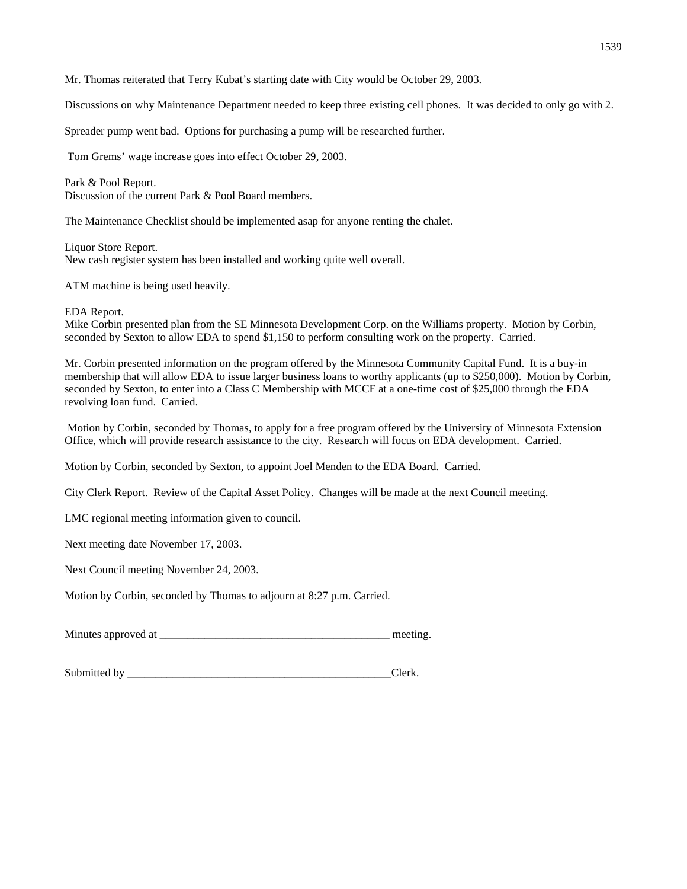Mr. Thomas reiterated that Terry Kubat's starting date with City would be October 29, 2003.

Discussions on why Maintenance Department needed to keep three existing cell phones. It was decided to only go with 2.

Spreader pump went bad. Options for purchasing a pump will be researched further.

Tom Grems' wage increase goes into effect October 29, 2003.

Park & Pool Report. Discussion of the current Park & Pool Board members.

The Maintenance Checklist should be implemented asap for anyone renting the chalet.

Liquor Store Report. New cash register system has been installed and working quite well overall.

ATM machine is being used heavily.

EDA Report.

Mike Corbin presented plan from the SE Minnesota Development Corp. on the Williams property. Motion by Corbin, seconded by Sexton to allow EDA to spend \$1,150 to perform consulting work on the property. Carried.

Mr. Corbin presented information on the program offered by the Minnesota Community Capital Fund. It is a buy-in membership that will allow EDA to issue larger business loans to worthy applicants (up to \$250,000). Motion by Corbin, seconded by Sexton, to enter into a Class C Membership with MCCF at a one-time cost of \$25,000 through the EDA revolving loan fund. Carried.

 Motion by Corbin, seconded by Thomas, to apply for a free program offered by the University of Minnesota Extension Office, which will provide research assistance to the city. Research will focus on EDA development. Carried.

Motion by Corbin, seconded by Sexton, to appoint Joel Menden to the EDA Board. Carried.

City Clerk Report. Review of the Capital Asset Policy. Changes will be made at the next Council meeting.

LMC regional meeting information given to council.

Next meeting date November 17, 2003.

Next Council meeting November 24, 2003.

Motion by Corbin, seconded by Thomas to adjourn at 8:27 p.m. Carried.

Minutes approved at \_\_\_\_\_\_\_\_\_\_\_\_\_\_\_\_\_\_\_\_\_\_\_\_\_\_\_\_\_\_\_\_\_\_\_\_\_\_\_\_\_ meeting.

Submitted by \_\_\_\_\_\_\_\_\_\_\_\_\_\_\_\_\_\_\_\_\_\_\_\_\_\_\_\_\_\_\_\_\_\_\_\_\_\_\_\_\_\_\_\_\_\_\_Clerk.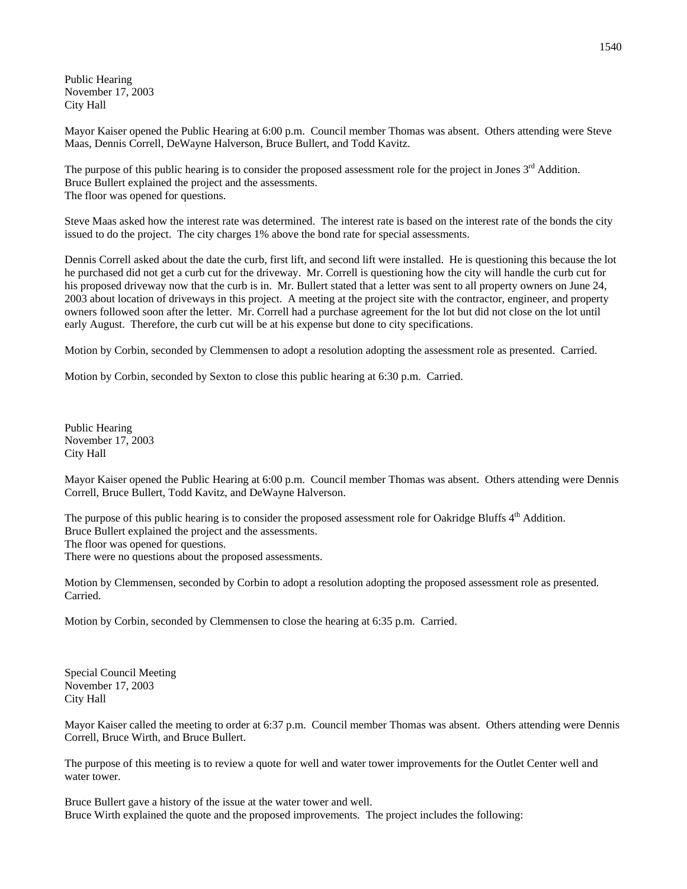Public Hearing November 17, 2003 City Hall

Mayor Kaiser opened the Public Hearing at 6:00 p.m. Council member Thomas was absent. Others attending were Steve Maas, Dennis Correll, DeWayne Halverson, Bruce Bullert, and Todd Kavitz.

The purpose of this public hearing is to consider the proposed assessment role for the project in Jones 3<sup>rd</sup> Addition. Bruce Bullert explained the project and the assessments. The floor was opened for questions.

Steve Maas asked how the interest rate was determined. The interest rate is based on the interest rate of the bonds the city issued to do the project. The city charges 1% above the bond rate for special assessments.

Dennis Correll asked about the date the curb, first lift, and second lift were installed. He is questioning this because the lot he purchased did not get a curb cut for the driveway. Mr. Correll is questioning how the city will handle the curb cut for his proposed driveway now that the curb is in. Mr. Bullert stated that a letter was sent to all property owners on June 24, 2003 about location of driveways in this project. A meeting at the project site with the contractor, engineer, and property owners followed soon after the letter. Mr. Correll had a purchase agreement for the lot but did not close on the lot until early August. Therefore, the curb cut will be at his expense but done to city specifications.

Motion by Corbin, seconded by Clemmensen to adopt a resolution adopting the assessment role as presented. Carried.

Motion by Corbin, seconded by Sexton to close this public hearing at 6:30 p.m. Carried.

Public Hearing November 17, 2003 City Hall

Mayor Kaiser opened the Public Hearing at 6:00 p.m. Council member Thomas was absent. Others attending were Dennis Correll, Bruce Bullert, Todd Kavitz, and DeWayne Halverson.

The purpose of this public hearing is to consider the proposed assessment role for Oakridge Bluffs  $4<sup>th</sup>$  Addition. Bruce Bullert explained the project and the assessments. The floor was opened for questions. There were no questions about the proposed assessments.

Motion by Clemmensen, seconded by Corbin to adopt a resolution adopting the proposed assessment role as presented. Carried.

Motion by Corbin, seconded by Clemmensen to close the hearing at 6:35 p.m. Carried.

Special Council Meeting November 17, 2003 City Hall

Mayor Kaiser called the meeting to order at 6:37 p.m. Council member Thomas was absent. Others attending were Dennis Correll, Bruce Wirth, and Bruce Bullert.

The purpose of this meeting is to review a quote for well and water tower improvements for the Outlet Center well and water tower.

Bruce Bullert gave a history of the issue at the water tower and well. Bruce Wirth explained the quote and the proposed improvements. The project includes the following: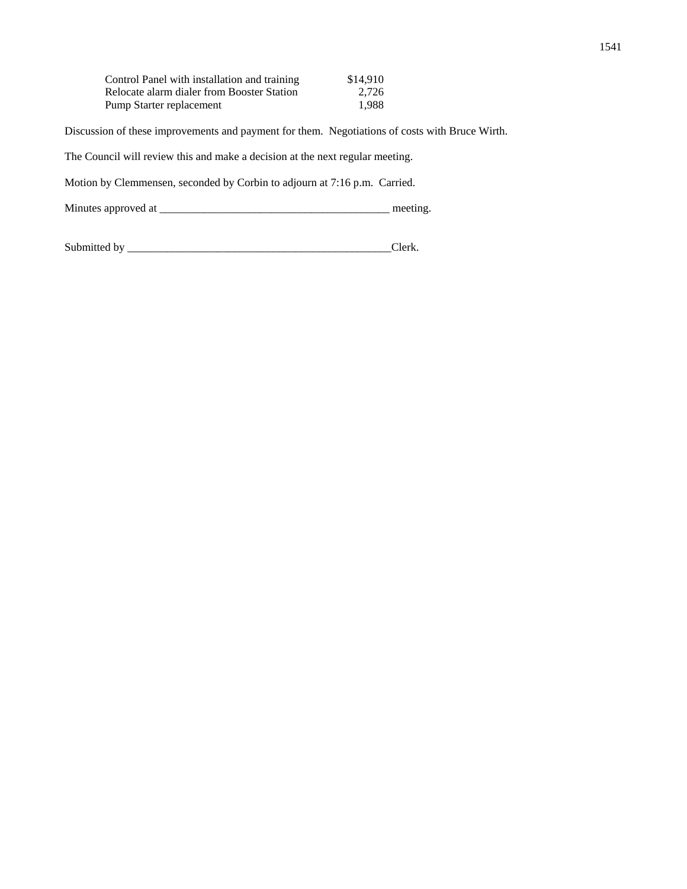| Control Panel with installation and training | \$14.910 |
|----------------------------------------------|----------|
| Relocate alarm dialer from Booster Station   | 2.726    |
| Pump Starter replacement                     | 1.988    |

Discussion of these improvements and payment for them. Negotiations of costs with Bruce Wirth.

The Council will review this and make a decision at the next regular meeting.

Motion by Clemmensen, seconded by Corbin to adjourn at 7:16 p.m. Carried.

Minutes approved at \_\_\_\_\_\_\_\_\_\_\_\_\_\_\_\_\_\_\_\_\_\_\_\_\_\_\_\_\_\_\_\_\_\_\_\_\_\_\_\_\_ meeting.

Submitted by \_\_\_\_\_\_\_\_\_\_\_\_\_\_\_\_\_\_\_\_\_\_\_\_\_\_\_\_\_\_\_\_\_\_\_\_\_\_\_\_\_\_\_\_\_\_\_Clerk.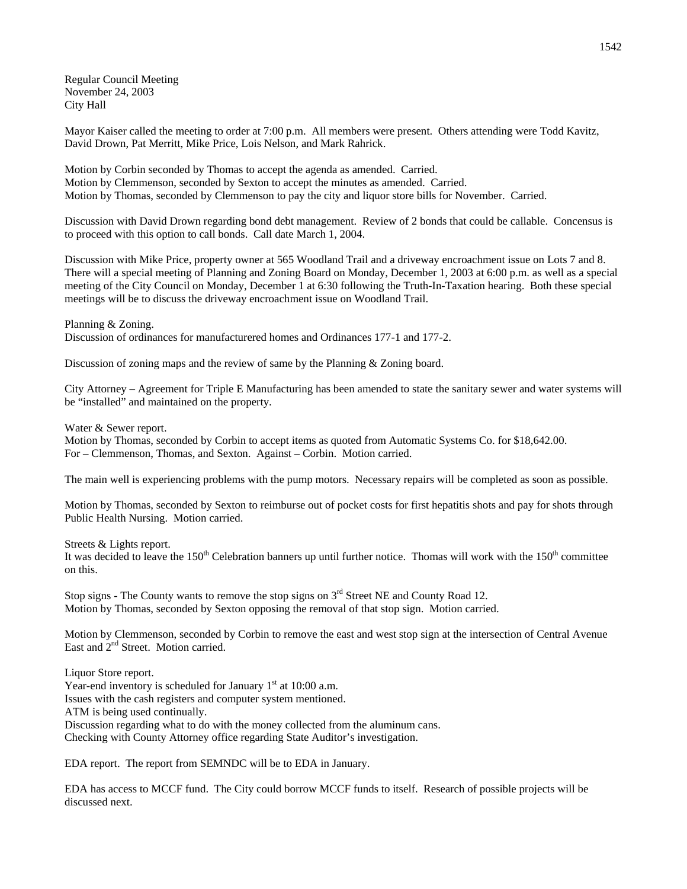Regular Council Meeting November 24, 2003 City Hall

Mayor Kaiser called the meeting to order at 7:00 p.m. All members were present. Others attending were Todd Kavitz, David Drown, Pat Merritt, Mike Price, Lois Nelson, and Mark Rahrick.

Motion by Corbin seconded by Thomas to accept the agenda as amended. Carried. Motion by Clemmenson, seconded by Sexton to accept the minutes as amended. Carried. Motion by Thomas, seconded by Clemmenson to pay the city and liquor store bills for November. Carried.

Discussion with David Drown regarding bond debt management. Review of 2 bonds that could be callable. Concensus is to proceed with this option to call bonds. Call date March 1, 2004.

Discussion with Mike Price, property owner at 565 Woodland Trail and a driveway encroachment issue on Lots 7 and 8. There will a special meeting of Planning and Zoning Board on Monday, December 1, 2003 at 6:00 p.m. as well as a special meeting of the City Council on Monday, December 1 at 6:30 following the Truth-In-Taxation hearing. Both these special meetings will be to discuss the driveway encroachment issue on Woodland Trail.

Planning & Zoning.

Discussion of ordinances for manufacturered homes and Ordinances 177-1 and 177-2.

Discussion of zoning maps and the review of same by the Planning & Zoning board.

City Attorney – Agreement for Triple E Manufacturing has been amended to state the sanitary sewer and water systems will be "installed" and maintained on the property.

Water & Sewer report.

Motion by Thomas, seconded by Corbin to accept items as quoted from Automatic Systems Co. for \$18,642.00. For – Clemmenson, Thomas, and Sexton. Against – Corbin. Motion carried.

The main well is experiencing problems with the pump motors. Necessary repairs will be completed as soon as possible.

Motion by Thomas, seconded by Sexton to reimburse out of pocket costs for first hepatitis shots and pay for shots through Public Health Nursing. Motion carried.

Streets & Lights report.

It was decided to leave the  $150<sup>th</sup>$  Celebration banners up until further notice. Thomas will work with the  $150<sup>th</sup>$  committee on this.

Stop signs - The County wants to remove the stop signs on  $3<sup>rd</sup>$  Street NE and County Road 12. Motion by Thomas, seconded by Sexton opposing the removal of that stop sign. Motion carried.

Motion by Clemmenson, seconded by Corbin to remove the east and west stop sign at the intersection of Central Avenue East and 2<sup>nd</sup> Street. Motion carried.

Liquor Store report. Year-end inventory is scheduled for January  $1<sup>st</sup>$  at 10:00 a.m. Issues with the cash registers and computer system mentioned. ATM is being used continually. Discussion regarding what to do with the money collected from the aluminum cans. Checking with County Attorney office regarding State Auditor's investigation.

EDA report. The report from SEMNDC will be to EDA in January.

EDA has access to MCCF fund. The City could borrow MCCF funds to itself. Research of possible projects will be discussed next.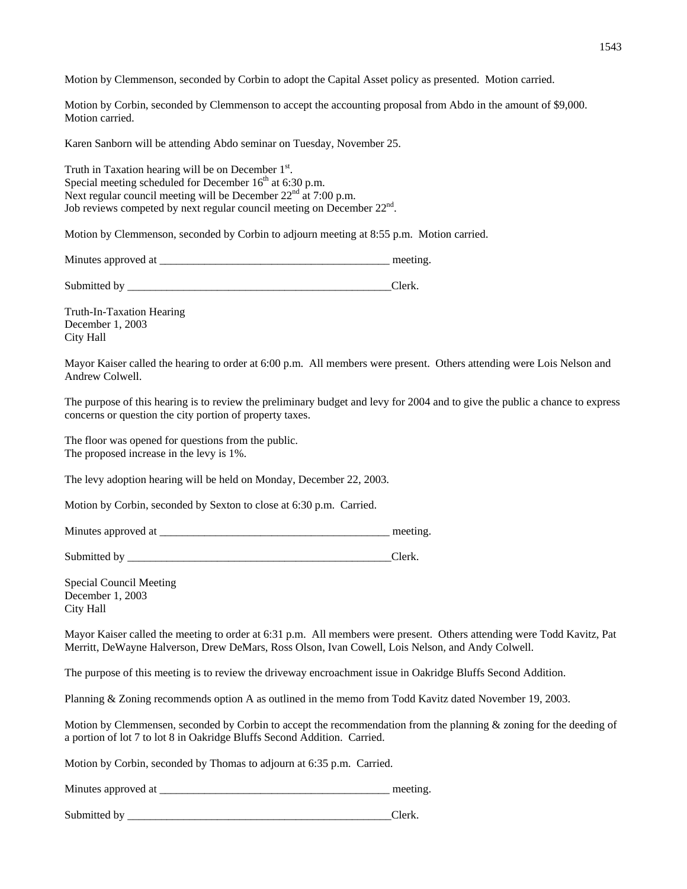Motion by Clemmenson, seconded by Corbin to adopt the Capital Asset policy as presented. Motion carried.

Motion by Corbin, seconded by Clemmenson to accept the accounting proposal from Abdo in the amount of \$9,000. Motion carried.

Karen Sanborn will be attending Abdo seminar on Tuesday, November 25.

Truth in Taxation hearing will be on December  $1<sup>st</sup>$ . Special meeting scheduled for December  $16<sup>th</sup>$  at 6:30 p.m. Next regular council meeting will be December  $22<sup>nd</sup>$  at 7:00 p.m. Job reviews competed by next regular council meeting on December 22<sup>nd</sup>.

Motion by Clemmenson, seconded by Corbin to adjourn meeting at 8:55 p.m. Motion carried.

Minutes approved at \_\_\_\_\_\_\_\_\_\_\_\_\_\_\_\_\_\_\_\_\_\_\_\_\_\_\_\_\_\_\_\_\_\_\_\_\_\_\_\_\_ meeting.

Submitted by \_\_\_\_\_\_\_\_\_\_\_\_\_\_\_\_\_\_\_\_\_\_\_\_\_\_\_\_\_\_\_\_\_\_\_\_\_\_\_\_\_\_\_\_\_\_\_Clerk.

Truth-In-Taxation Hearing December 1, 2003 City Hall

Mayor Kaiser called the hearing to order at 6:00 p.m. All members were present. Others attending were Lois Nelson and Andrew Colwell.

The purpose of this hearing is to review the preliminary budget and levy for 2004 and to give the public a chance to express concerns or question the city portion of property taxes.

The floor was opened for questions from the public. The proposed increase in the levy is 1%.

The levy adoption hearing will be held on Monday, December 22, 2003.

Motion by Corbin, seconded by Sexton to close at 6:30 p.m. Carried.

Minutes approved at \_\_\_\_\_\_\_\_\_\_\_\_\_\_\_\_\_\_\_\_\_\_\_\_\_\_\_\_\_\_\_\_\_\_\_\_\_\_\_\_\_ meeting.

Submitted by Clerk.

Special Council Meeting December 1, 2003 City Hall

Mayor Kaiser called the meeting to order at 6:31 p.m. All members were present. Others attending were Todd Kavitz, Pat Merritt, DeWayne Halverson, Drew DeMars, Ross Olson, Ivan Cowell, Lois Nelson, and Andy Colwell.

The purpose of this meeting is to review the driveway encroachment issue in Oakridge Bluffs Second Addition.

Planning & Zoning recommends option A as outlined in the memo from Todd Kavitz dated November 19, 2003.

Motion by Clemmensen, seconded by Corbin to accept the recommendation from the planning & zoning for the deeding of a portion of lot 7 to lot 8 in Oakridge Bluffs Second Addition. Carried.

Motion by Corbin, seconded by Thomas to adjourn at 6:35 p.m. Carried.

Minutes approved at \_\_\_\_\_\_\_\_\_\_\_\_\_\_\_\_\_\_\_\_\_\_\_\_\_\_\_\_\_\_\_\_\_\_\_\_\_\_\_\_\_ meeting.

Submitted by \_\_\_\_\_\_\_\_\_\_\_\_\_\_\_\_\_\_\_\_\_\_\_\_\_\_\_\_\_\_\_\_\_\_\_\_\_\_\_\_\_\_\_\_\_\_\_Clerk.